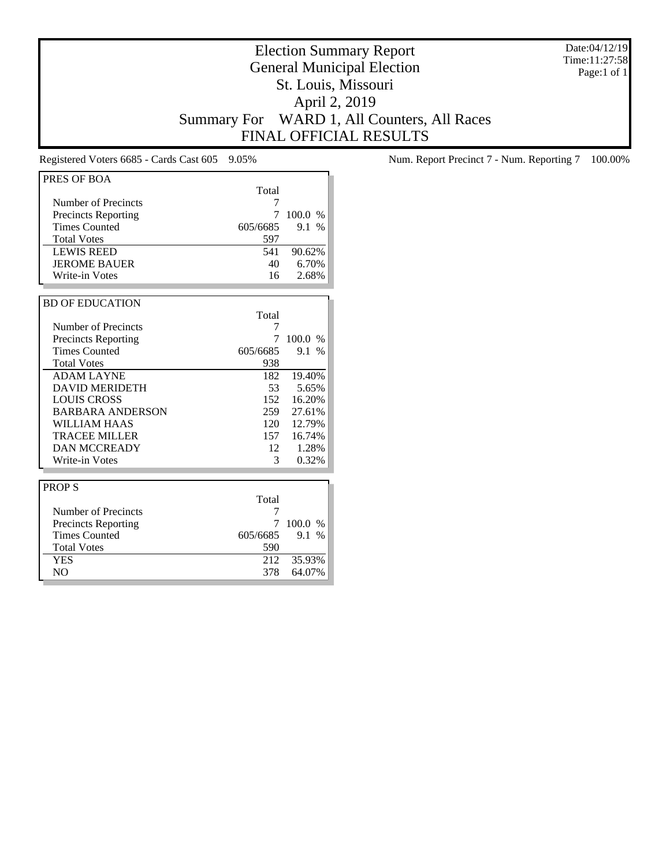Date:04/12/19 Time:11:27:58 Page:1 of 1

# Election Summary Report General Municipal Election St. Louis, Missouri April 2, 2019 Summary For WARD 1, All Counters, All Races FINAL OFFICIAL RESULTS

| PRES OF BOA                |          |             |
|----------------------------|----------|-------------|
|                            | Total    |             |
| Number of Precincts        | 7        |             |
| <b>Precincts Reporting</b> | 7        | 100.0%      |
| <b>Times Counted</b>       | 605/6685 | 9.1<br>$\%$ |
| <b>Total Votes</b>         | 597      |             |
| <b>LEWIS REED</b>          | 541      | 90.62%      |
| <b>JEROME BAUER</b>        | 40       | 6.70%       |
| Write-in Votes             | 16       | 2.68%       |
|                            |          |             |
| <b>BD OF EDUCATION</b>     |          |             |
|                            | Total    |             |
| Number of Precincts        | 7        |             |
| <b>Precincts Reporting</b> | 7        | 100.0%      |
| <b>Times Counted</b>       | 605/6685 | 9.1 %       |
| <b>Total Votes</b>         | 938      |             |
| <b>ADAM LAYNE</b>          | 182      | 19.40%      |
| <b>DAVID MERIDETH</b>      | 53       | 5.65%       |
| <b>LOUIS CROSS</b>         | 152      | 16.20%      |
| <b>BARBARA ANDERSON</b>    | 259      | 27.61%      |
| WILLIAM HAAS               | 120      | 12.79%      |
| <b>TRACEE MILLER</b>       | 157      | 16.74%      |
| <b>DAN MCCREADY</b>        | 12       | 1.28%       |
| Write-in Votes             | 3        | 0.32%       |
|                            |          |             |
| <b>PROPS</b>               |          |             |
|                            | Total    |             |
| Number of Precincts        | 7        |             |
| <b>Precincts Reporting</b> | 7        | 100.0 %     |
| <b>Times Counted</b>       | 605/6685 | 9.1 %       |
| <b>Total Votes</b>         | 590      |             |
| <b>YES</b>                 | 212      | 35.93%      |
| N <sub>O</sub>             | 378      | 64.07%      |

Registered Voters 6685 - Cards Cast 605 9.05% Num. Report Precinct 7 - Num. Reporting 7 100.00%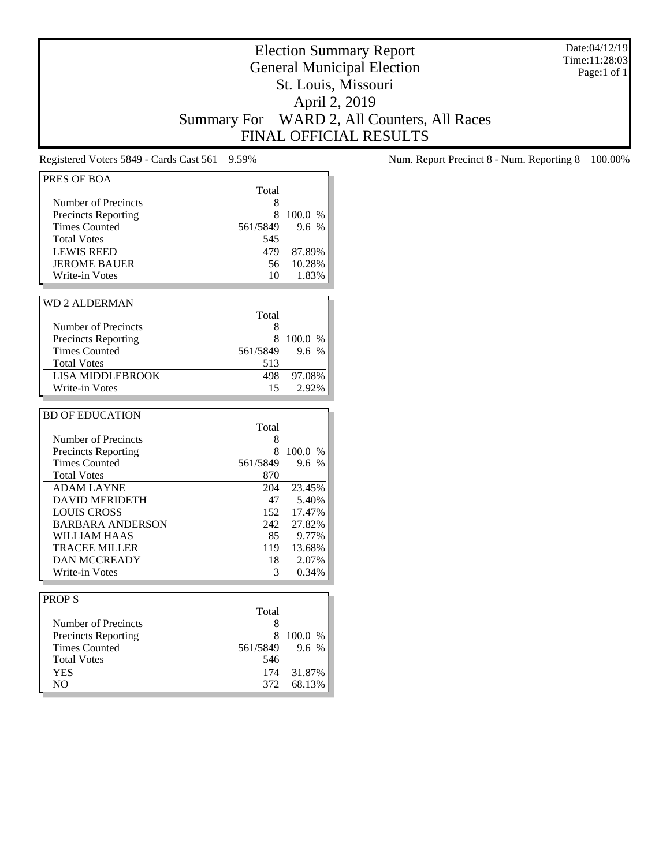Date:04/12/19 Time:11:28:03 Page:1 of 1

# Election Summary Report General Municipal Election St. Louis, Missouri April 2, 2019 Summary For WARD 2, All Counters, All Races FINAL OFFICIAL RESULTS

| PRES OF BOA                                        |            |                 |
|----------------------------------------------------|------------|-----------------|
|                                                    | Total      |                 |
| <b>Number of Precincts</b>                         | 8          |                 |
| <b>Precincts Reporting</b>                         | 8          | 100.0 %         |
| <b>Times Counted</b>                               | 561/5849   | 9.6 %           |
| <b>Total Votes</b>                                 | 545        |                 |
| <b>LEWIS REED</b>                                  | 479        | 87.89%          |
| <b>JEROME BAUER</b>                                | 56         | 10.28%          |
| Write-in Votes                                     | 10         | 1.83%           |
|                                                    |            |                 |
| <b>WD 2 ALDERMAN</b>                               |            |                 |
|                                                    | Total      |                 |
| Number of Precincts                                | 8          |                 |
| <b>Precincts Reporting</b>                         | 8          | 100.0 %         |
| <b>Times Counted</b>                               | 561/5849   | 9.6%            |
| <b>Total Votes</b>                                 | 513        |                 |
| <b>LISA MIDDLEBROOK</b>                            | 498        | 97.08%          |
| Write-in Votes                                     | 15         | 2.92%           |
|                                                    |            |                 |
| <b>BD OF EDUCATION</b>                             |            |                 |
|                                                    |            |                 |
| Number of Precincts                                | Total<br>8 |                 |
|                                                    | 8          | 100.0 %         |
| <b>Precincts Reporting</b><br><b>Times Counted</b> | 561/5849   | 9.6 %           |
| <b>Total Votes</b>                                 | 870        |                 |
|                                                    |            |                 |
| <b>ADAM LAYNE</b><br><b>DAVID MERIDETH</b>         | 204<br>47  | 23.45%<br>5.40% |
| <b>LOUIS CROSS</b>                                 | 152        | 17.47%          |
| <b>BARBARA ANDERSON</b>                            | 242        | 27.82%          |
| <b>WILLIAM HAAS</b>                                | 85         | 9.77%           |
|                                                    |            |                 |
| <b>TRACEE MILLER</b><br><b>DAN MCCREADY</b>        | 119<br>18  | 13.68%          |
| Write-in Votes                                     | 3          | 2.07%<br>0.34%  |
|                                                    |            |                 |
| <b>PROPS</b>                                       |            |                 |
|                                                    | Total      |                 |
| <b>Number of Precincts</b>                         | 8          |                 |
| <b>Precincts Reporting</b>                         | 8          | 100.0 %         |
| <b>Times Counted</b>                               | 561/5849   | 9.6 %           |
|                                                    |            |                 |
| <b>Total Votes</b>                                 | 546        |                 |
| <b>YES</b>                                         | 174        | 31.87%          |
| NO.                                                | 372        | 68.13%          |

Registered Voters 5849 - Cards Cast 561 9.59% Num. Report Precinct 8 - Num. Reporting 8 100.00%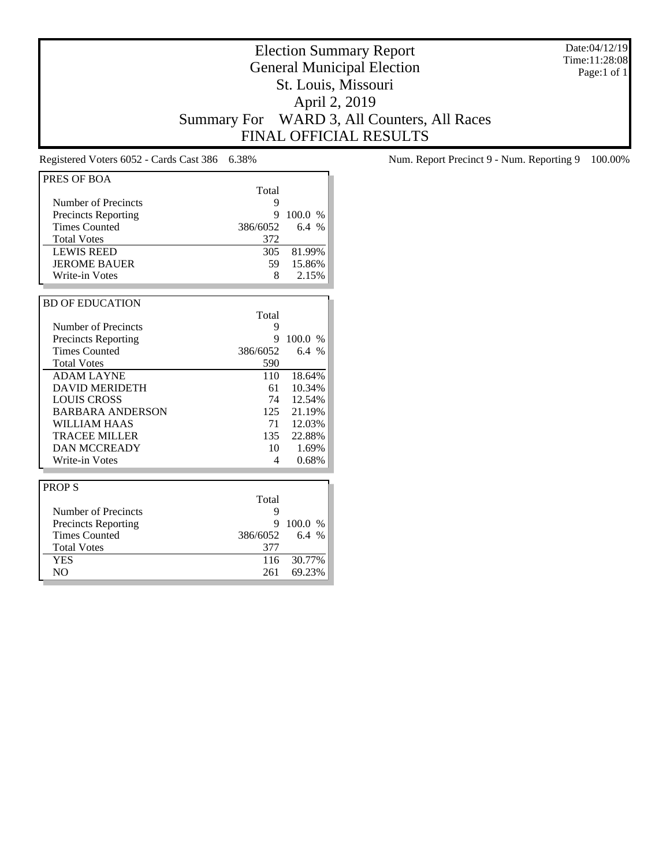Date:04/12/19 Time:11:28:08 Page:1 of 1

# Election Summary Report General Municipal Election St. Louis, Missouri April 2, 2019 Summary For WARD 3, All Counters, All Races FINAL OFFICIAL RESULTS

| PRES OF BOA                |          |            |
|----------------------------|----------|------------|
|                            | Total    |            |
| Number of Precincts        | 9        |            |
| <b>Precincts Reporting</b> | 9        | 100.0 %    |
| <b>Times Counted</b>       | 386/6052 | 6.4%       |
| <b>Total Votes</b>         | 372      |            |
| <b>LEWIS REED</b>          | 305      | 81.99%     |
| <b>JEROME BAUER</b>        | 59       | 15.86%     |
| Write-in Votes             | 8        | 2.15%      |
|                            |          |            |
| <b>BD OF EDUCATION</b>     |          |            |
|                            | Total    |            |
| Number of Precincts        | 9        |            |
| <b>Precincts Reporting</b> | 9        | 100.0 %    |
| <b>Times Counted</b>       | 386/6052 | 6.4%       |
| <b>Total Votes</b>         | 590      |            |
| <b>ADAM LAYNE</b>          | 110      | 18.64%     |
| <b>DAVID MERIDETH</b>      | 61       | 10.34%     |
| <b>LOUIS CROSS</b>         | 74       | 12.54%     |
| <b>BARBARA ANDERSON</b>    | 125      | 21.19%     |
| WILLIAM HAAS               | 71       | 12.03%     |
| TRACEE MILLER              | 135      | 22.88%     |
| <b>DAN MCCREADY</b>        | 10       | 1.69%      |
| Write-in Votes             | 4        | 0.68%      |
|                            |          |            |
| <b>PROPS</b>               |          |            |
|                            | Total    |            |
| Number of Precincts        | 9        |            |
| Precincts Reporting        | Q        | 100.0 $\%$ |

|                            | Total    |            |
|----------------------------|----------|------------|
| Number of Precincts        |          |            |
| <b>Precincts Reporting</b> |          | 9100.0%    |
| <b>Times Counted</b>       | 386/6052 | 6.4 %      |
| <b>Total Votes</b>         | 377      |            |
| <b>YES</b>                 |          | 116 30.77% |
| NO.                        | 261      | 69.23%     |
|                            |          |            |

Registered Voters 6052 - Cards Cast 386 6.38% Num. Report Precinct 9 - Num. Reporting 9 100.00%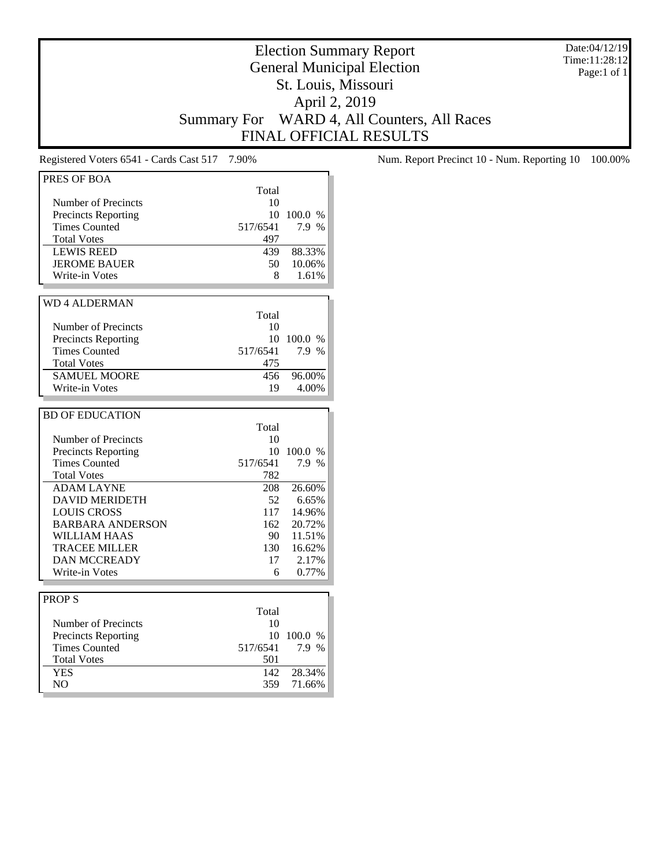Date:04/12/19 Time:11:28:12 Page:1 of 1

# Election Summary Report General Municipal Election St. Louis, Missouri April 2, 2019 Summary For WARD 4, All Counters, All Races FINAL OFFICIAL RESULTS

| PRES OF BOA                |          |         |
|----------------------------|----------|---------|
|                            | Total    |         |
| Number of Precincts        | 10       |         |
| <b>Precincts Reporting</b> | 10       | 100.0 % |
| <b>Times Counted</b>       | 517/6541 | 7.9 %   |
| <b>Total Votes</b>         | 497      |         |
| <b>LEWIS REED</b>          | 439      | 88.33%  |
| <b>JEROME BAUER</b>        | 50       | 10.06%  |
| Write-in Votes             | 8        | 1.61%   |
|                            |          |         |
|                            |          |         |
| <b>WD 4 ALDERMAN</b>       |          |         |
|                            | Total    |         |
| Number of Precincts        | 10       |         |
| <b>Precincts Reporting</b> | 10       | 100.0 % |
| <b>Times Counted</b>       | 517/6541 | 7.9 %   |
| <b>Total Votes</b>         | 475      |         |
| <b>SAMUEL MOORE</b>        | 456      | 96.00%  |
| Write-in Votes             | 19       | 4.00%   |
|                            |          |         |
| <b>BD OF EDUCATION</b>     |          |         |
|                            | Total    |         |
| Number of Precincts        | 10       |         |
| <b>Precincts Reporting</b> | 10       | 100.0 % |
| <b>Times Counted</b>       | 517/6541 | 7.9 %   |
| <b>Total Votes</b>         | 782      |         |
| <b>ADAM LAYNE</b>          | 208      | 26.60%  |
| <b>DAVID MERIDETH</b>      | 52       | 6.65%   |
| <b>LOUIS CROSS</b>         | 117      | 14.96%  |
| <b>BARBARA ANDERSON</b>    | 162      | 20.72%  |
|                            |          | 11.51%  |
| <b>WILLIAM HAAS</b>        | 90       |         |
| <b>TRACEE MILLER</b>       | 130      | 16.62%  |
| <b>DAN MCCREADY</b>        | 17       | 2.17%   |
| Write-in Votes             | 6        | 0.77%   |
|                            |          |         |
| <b>PROPS</b>               |          |         |
|                            | Total    |         |
| <b>Number of Precincts</b> | 10       |         |
| <b>Precincts Reporting</b> | 10       | 100.0 % |
| <b>Times Counted</b>       | 517/6541 | 7.9 %   |
| <b>Total Votes</b>         | 501      |         |
| <b>YES</b>                 | 142      | 28.34%  |
| N <sub>O</sub>             | 359      | 71.66%  |
|                            |          |         |

Registered Voters 6541 - Cards Cast 517 7.90% Num. Report Precinct 10 - Num. Reporting 10 100.00%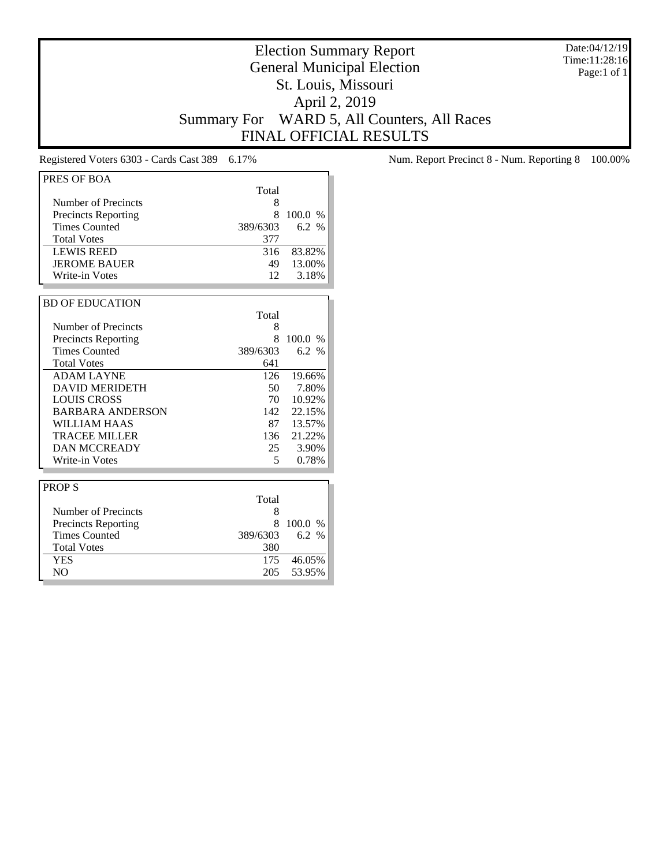Date:04/12/19 Time:11:28:16 Page:1 of 1

# Election Summary Report General Municipal Election St. Louis, Missouri April 2, 2019 Summary For WARD 5, All Counters, All Races FINAL OFFICIAL RESULTS

| PRES OF BOA                |          |         |
|----------------------------|----------|---------|
|                            | Total    |         |
| Number of Precincts        | 8        |         |
| <b>Precincts Reporting</b> | 8        | 100.0%  |
| <b>Times Counted</b>       | 389/6303 | 6.2 %   |
| <b>Total Votes</b>         | 377      |         |
| <b>LEWIS REED</b>          | 316      | 83.82%  |
| <b>JEROME BAUER</b>        | 49       | 13.00%  |
| Write-in Votes             | 12       | 3.18%   |
|                            |          |         |
| <b>BD OF EDUCATION</b>     |          |         |
|                            | Total    |         |
| Number of Precincts        | 8        |         |
| <b>Precincts Reporting</b> | 8        | 100.0%  |
| <b>Times Counted</b>       | 389/6303 | 6.2 %   |
| <b>Total Votes</b>         | 641      |         |
| <b>ADAM LAYNE</b>          | 126      | 19.66%  |
| <b>DAVID MERIDETH</b>      | 50       | 7.80%   |
| <b>LOUIS CROSS</b>         | 70       | 10.92%  |
| <b>BARBARA ANDERSON</b>    | 142      | 22.15%  |
| WILLIAM HAAS               | 87       | 13.57%  |
| <b>TRACEE MILLER</b>       | 136      | 21.22%  |
| <b>DAN MCCREADY</b>        | 25       | 3.90%   |
| Write-in Votes             | 5        | 0.78%   |
|                            |          |         |
| <b>PROPS</b>               |          |         |
|                            | Total    |         |
| Number of Precincts        | 8        |         |
| <b>Precincts Reporting</b> | 8        | 100.0 % |
| <b>Times Counted</b>       | 389/6303 | 6.2 %   |
| <b>Total Votes</b>         | 380      |         |
| <b>YES</b>                 | 175      | 46.05%  |
| N <sub>O</sub>             | 205      | 53.95%  |

Registered Voters 6303 - Cards Cast 389 6.17% Num. Report Precinct 8 - Num. Reporting 8 100.00%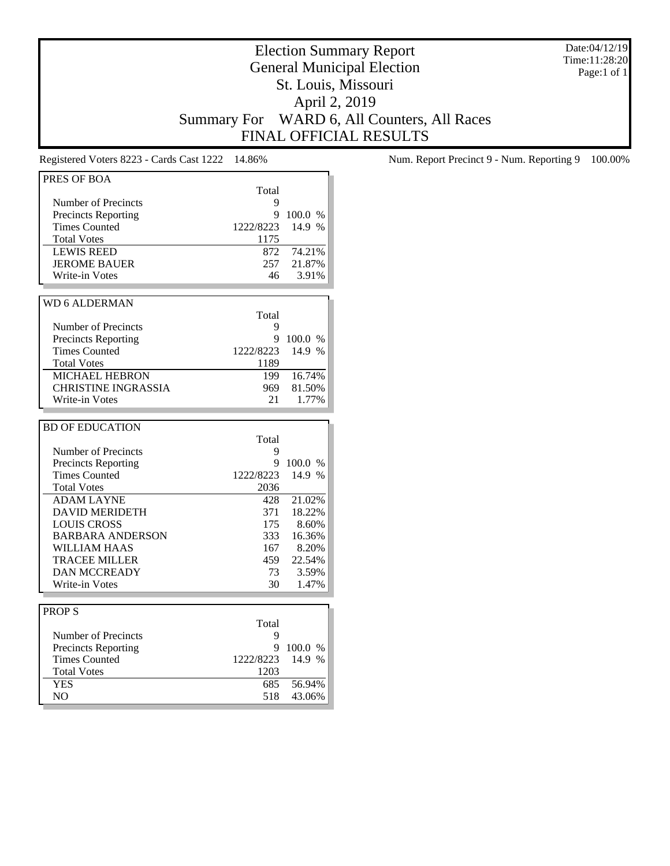Date:04/12/19 Time:11:28:20 Page:1 of 1

# Election Summary Report General Municipal Election St. Louis, Missouri April 2, 2019 Summary For WARD 6, All Counters, All Races FINAL OFFICIAL RESULTS

| PRES OF BOA                |           |                   |
|----------------------------|-----------|-------------------|
|                            | Total     |                   |
| Number of Precincts        | 9         |                   |
| Precincts Reporting        | 9         | 100.0 %           |
| <b>Times Counted</b>       | 1222/8223 | 14.9 %            |
| <b>Total Votes</b>         | 1175      |                   |
| <b>LEWIS REED</b>          | 872       | 74.21%            |
| <b>JEROME BAUER</b>        | 257       | 21.87%            |
| Write-in Votes             | 46        | 3.91%             |
|                            |           |                   |
| <b>WD 6 ALDERMAN</b>       |           |                   |
|                            | Total     |                   |
| Number of Precincts        | 9         |                   |
| <b>Precincts Reporting</b> | 9         | 100.0 %           |
| <b>Times Counted</b>       | 1222/8223 | 14.9 %            |
| <b>Total Votes</b>         | 1189      |                   |
| <b>MICHAEL HEBRON</b>      | 199       | 16.74%            |
| <b>CHRISTINE INGRASSIA</b> | 969       | 81.50%            |
| Write-in Votes             | 21        | 1.77%             |
|                            |           |                   |
|                            |           |                   |
| <b>BD OF EDUCATION</b>     |           |                   |
|                            | Total     |                   |
| Number of Precincts        | 9<br>9    |                   |
| <b>Precincts Reporting</b> |           | 100.0 %<br>14.9 % |
| <b>Times Counted</b>       | 1222/8223 |                   |
| <b>Total Votes</b>         | 2036      |                   |
| <b>ADAM LAYNE</b>          | 428       | 21.02%            |
| <b>DAVID MERIDETH</b>      | 371       | 18.22%            |
| <b>LOUIS CROSS</b>         | 175       | 8.60%             |
| <b>BARBARA ANDERSON</b>    | 333       | 16.36%            |
| <b>WILLIAM HAAS</b>        | 167       | 8.20%             |
| <b>TRACEE MILLER</b>       | 459       | 22.54%            |
| <b>DAN MCCREADY</b>        | 73        | 3.59%             |
| Write-in Votes             | 30        | 1.47%             |
|                            |           |                   |
| <b>PROPS</b>               |           |                   |
|                            | Total     |                   |
| Number of Precincts        | 9         |                   |
| <b>Precincts Reporting</b> | 9         | 100.0 %           |
| <b>Times Counted</b>       | 1222/8223 | 14.9 %            |
| <b>Total Votes</b>         | 1203      |                   |
| <b>YES</b>                 | 685       | 56.94%            |
| N <sub>O</sub>             | 518       | 43.06%            |

Registered Voters 8223 - Cards Cast 1222 14.86% Num. Report Precinct 9 - Num. Reporting 9 100.00%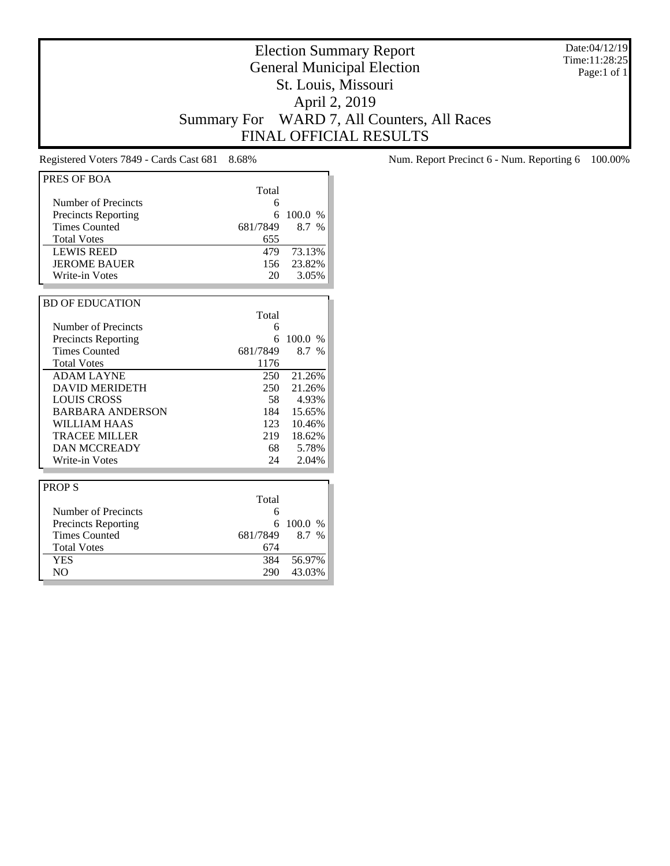Date:04/12/19 Time:11:28:25 Page:1 of 1

# Election Summary Report General Municipal Election St. Louis, Missouri April 2, 2019 Summary For WARD 7, All Counters, All Races FINAL OFFICIAL RESULTS

| PRES OF BOA                |          |               |
|----------------------------|----------|---------------|
|                            | Total    |               |
| Number of Precincts        | 6        |               |
| <b>Precincts Reporting</b> | 6        | 100.0 %       |
| <b>Times Counted</b>       | 681/7849 | 8.7 %         |
| <b>Total Votes</b>         | 655      |               |
| <b>LEWIS REED</b>          | 479      | 73.13%        |
| <b>JEROME BAUER</b>        | 156      | 23.82%        |
| Write-in Votes             | 20       | 3.05%         |
|                            |          |               |
| <b>BD OF EDUCATION</b>     |          |               |
|                            | Total    |               |
| Number of Precincts        | 6        |               |
| <b>Precincts Reporting</b> | 6        | 100.0 %       |
| <b>Times Counted</b>       | 681/7849 | 8.7 %         |
| <b>Total Votes</b>         | 1176     |               |
| <b>ADAM LAYNE</b>          | 250      | 21.26%        |
| <b>DAVID MERIDETH</b>      | 250      | 21.26%        |
| <b>LOUIS CROSS</b>         | 58       | 4.93%         |
| <b>BARBARA ANDERSON</b>    | 184      | 15.65%        |
| WILLIAM HAAS               | 123      | 10.46%        |
| <b>TRACEE MILLER</b>       | 219      | 18.62%        |
| <b>DAN MCCREADY</b>        | 68       | 5.78%         |
| Write-in Votes             | 24       | 2.04%         |
|                            |          |               |
| <b>PROPS</b>               |          |               |
|                            | Total    |               |
| Number of Precincts        | 6        |               |
| <b>Precincts Reporting</b> | 6        | 100.0<br>$\%$ |
| <b>Times Counted</b>       | 681/7849 | 8.7 %         |
| <b>Total Votes</b>         | 674      |               |
| <b>YES</b>                 | 384      | 56.97%        |
| N <sub>O</sub>             | 290      | 43.03%        |

Registered Voters 7849 - Cards Cast 681 8.68% Num. Report Precinct 6 - Num. Reporting 6 100.00%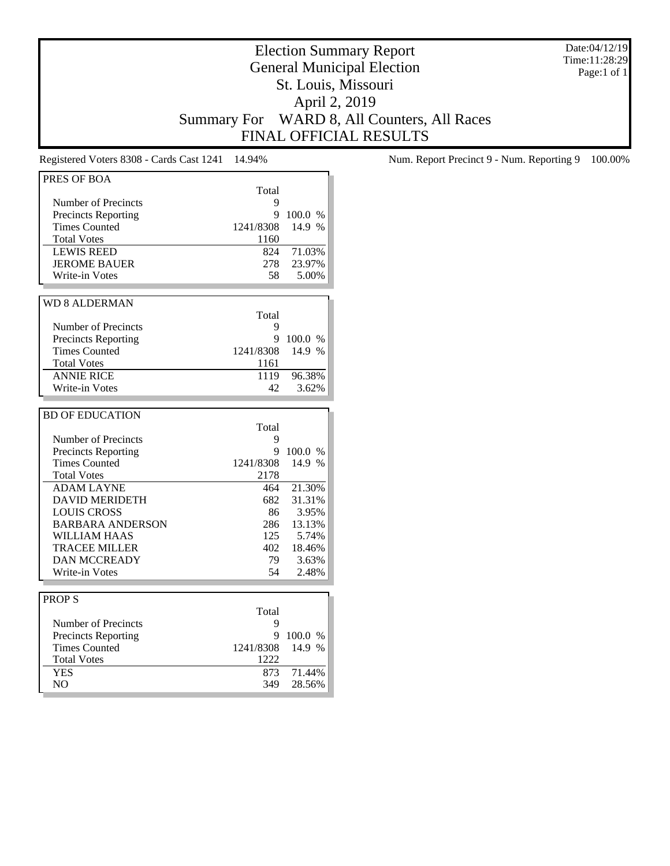Date:04/12/19 Time:11:28:29 Page:1 of 1

# Election Summary Report General Municipal Election St. Louis, Missouri April 2, 2019 Summary For WARD 8, All Counters, All Races FINAL OFFICIAL RESULTS

| PRES OF BOA                                        |                 |         |
|----------------------------------------------------|-----------------|---------|
|                                                    | Total           |         |
| Number of Precincts                                | 9               |         |
|                                                    | 9               | 100.0%  |
| <b>Precincts Reporting</b><br><b>Times Counted</b> |                 | 14.9 %  |
|                                                    | 1241/8308       |         |
| <b>Total Votes</b>                                 | 1160            |         |
| <b>LEWIS REED</b>                                  | 824             | 71.03%  |
| <b>JEROME BAUER</b>                                | 278             | 23.97%  |
| Write-in Votes                                     | 58              | 5.00%   |
|                                                    |                 |         |
| <b>WD 8 ALDERMAN</b>                               |                 |         |
|                                                    | Total           |         |
| <b>Number of Precincts</b>                         | 9               |         |
| <b>Precincts Reporting</b>                         | 9               | 100.0 % |
| <b>Times Counted</b>                               | 1241/8308       | 14.9 %  |
| <b>Total Votes</b>                                 |                 |         |
|                                                    | 1161            |         |
| <b>ANNIE RICE</b>                                  | 1119            | 96.38%  |
| Write-in Votes                                     | 42 <sub>1</sub> | 3.62%   |
|                                                    |                 |         |
| <b>BD OF EDUCATION</b>                             |                 |         |
|                                                    | Total           |         |
| Number of Precincts                                | 9               |         |
| <b>Precincts Reporting</b>                         | 9               | 100.0 % |
| <b>Times Counted</b>                               | 1241/8308       | 14.9 %  |
| <b>Total Votes</b>                                 | 2178            |         |
| <b>ADAM LAYNE</b>                                  | 464             | 21.30%  |
| <b>DAVID MERIDETH</b>                              | 682             | 31.31%  |
| <b>LOUIS CROSS</b>                                 | 86              | 3.95%   |
|                                                    |                 |         |
| <b>BARBARA ANDERSON</b>                            | 286             | 13.13%  |
| <b>WILLIAM HAAS</b>                                | 125             | 5.74%   |
| <b>TRACEE MILLER</b>                               | 402             | 18.46%  |
| <b>DAN MCCREADY</b>                                | 79.             | 3.63%   |
| Write-in Votes                                     | 54              | 2.48%   |
|                                                    |                 |         |
| <b>PROPS</b>                                       |                 |         |
|                                                    | Total           |         |
| Number of Precincts                                | 9               |         |
| <b>Precincts Reporting</b>                         | 9               | 100.0 % |
| <b>Times Counted</b>                               | 1241/8308       | 14.9 %  |
| <b>Total Votes</b>                                 | 1222            |         |
|                                                    |                 |         |
| <b>YES</b>                                         | 873             | 71.44%  |
| NO.                                                | 349             | 28.56%  |

Registered Voters 8308 - Cards Cast 1241 14.94% Num. Report Precinct 9 - Num. Reporting 9 100.00%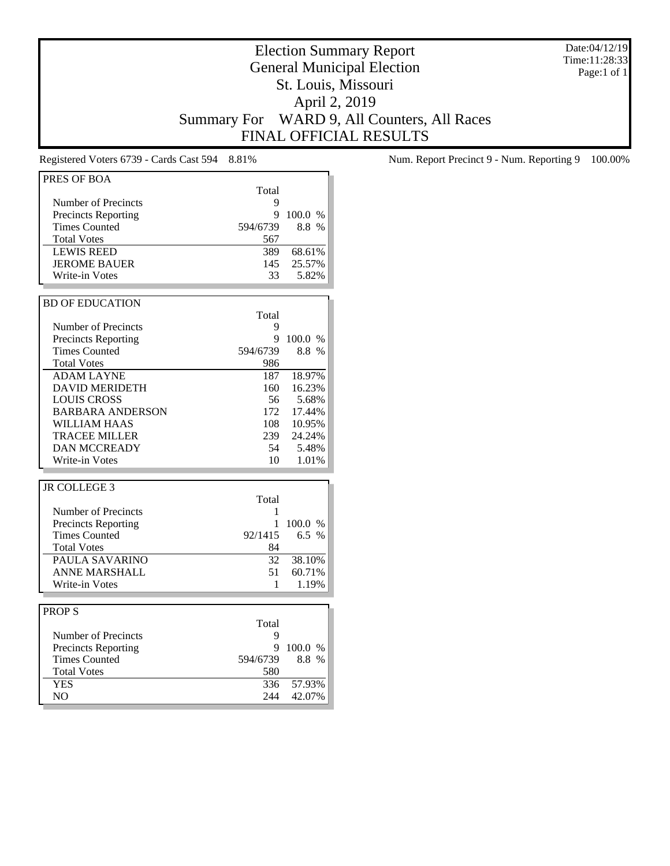Date:04/12/19 Time:11:28:33 Page:1 of 1

# Election Summary Report General Municipal Election St. Louis, Missouri April 2, 2019 Summary For WARD 9, All Counters, All Races FINAL OFFICIAL RESULTS

| PRES OF BOA                |              |         |
|----------------------------|--------------|---------|
|                            | Total        |         |
|                            | 9            |         |
| Number of Precincts        |              |         |
| <b>Precincts Reporting</b> | 9            | 100.0 % |
| <b>Times Counted</b>       | 594/6739     | 8.8 %   |
| <b>Total Votes</b>         | 567          |         |
| <b>LEWIS REED</b>          | 389          | 68.61%  |
| <b>JEROME BAUER</b>        | 145          | 25.57%  |
| Write-in Votes             | 33           | 5.82%   |
|                            |              |         |
| <b>BD OF EDUCATION</b>     |              |         |
|                            | Total        |         |
| Number of Precincts        | 9            |         |
| <b>Precincts Reporting</b> | 9            | 100.0 % |
| <b>Times Counted</b>       | 594/6739     | 8.8 %   |
| <b>Total Votes</b>         | 986          |         |
| <b>ADAM LAYNE</b>          | 187          | 18.97%  |
| <b>DAVID MERIDETH</b>      |              | 16.23%  |
|                            | 160          |         |
| <b>LOUIS CROSS</b>         | 56           | 5.68%   |
| <b>BARBARA ANDERSON</b>    | 172          | 17.44%  |
| WILLIAM HAAS               | 108          | 10.95%  |
| <b>TRACEE MILLER</b>       | 239          | 24.24%  |
| <b>DAN MCCREADY</b>        | 54           | 5.48%   |
| Write-in Votes             | 10           | 1.01%   |
|                            |              |         |
| <b>JR COLLEGE 3</b>        |              |         |
|                            | Total        |         |
| <b>Number of Precincts</b> | 1            |         |
| <b>Precincts Reporting</b> | $\mathbf{1}$ | 100.0 % |
| <b>Times Counted</b>       | 92/1415      | 6.5 %   |
| <b>Total Votes</b>         | 84           |         |
| PAULA SAVARINO             | 32           | 38.10%  |
| <b>ANNE MARSHALL</b>       | 51           | 60.71%  |
|                            |              |         |
| Write-in Votes             | 1            | 1.19%   |
|                            |              |         |
| <b>PROPS</b>               |              |         |
|                            | Total        |         |
| Number of Precincts        | 9            |         |
| <b>Precincts Reporting</b> | 9            | 100.0 % |
| <b>Times Counted</b>       | 594/6739     | 8.8 %   |
| <b>Total Votes</b>         | 580          |         |
| <b>YES</b>                 | 336          | 57.93%  |
| NO                         | 244          | 42.07%  |

Registered Voters 6739 - Cards Cast 594 8.81% Num. Report Precinct 9 - Num. Reporting 9 100.00%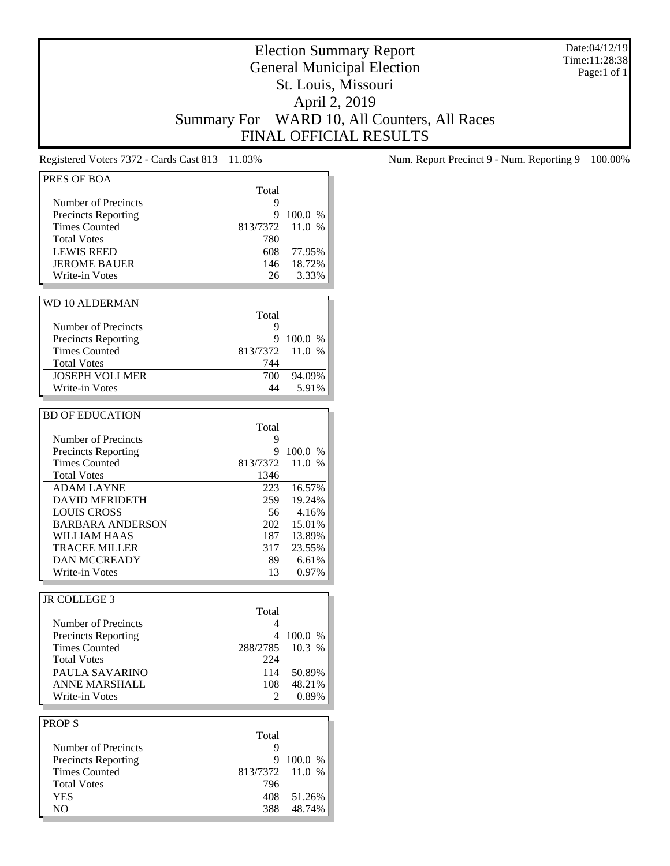Date:04/12/19 Time:11:28:38 Page:1 of 1

# Election Summary Report General Municipal Election St. Louis, Missouri April 2, 2019 Summary For WARD 10, All Counters, All Races FINAL OFFICIAL RESULTS

| PRES OF BOA                |          |         |
|----------------------------|----------|---------|
|                            | Total    |         |
| Number of Precincts        | 9        |         |
| <b>Precincts Reporting</b> | 9        | 100.0 % |
| <b>Times Counted</b>       | 813/7372 | 11.0 %  |
| <b>Total Votes</b>         |          |         |
|                            | 780      |         |
| <b>LEWIS REED</b>          | 608      | 77.95%  |
| <b>JEROME BAUER</b>        | 146      | 18.72%  |
| Write-in Votes             | 26       | 3.33%   |
|                            |          |         |
| <b>WD 10 ALDERMAN</b>      |          |         |
|                            | Total    |         |
| Number of Precincts        | 9        |         |
| <b>Precincts Reporting</b> | 9        | 100.0 % |
| <b>Times Counted</b>       | 813/7372 | 11.0 %  |
| <b>Total Votes</b>         | 744      |         |
| <b>JOSEPH VOLLMER</b>      | 700      | 94.09%  |
| Write-in Votes             | 44       | 5.91%   |
|                            |          |         |
|                            |          |         |
| <b>BD OF EDUCATION</b>     |          |         |
|                            | Total    |         |
| Number of Precincts        | 9        |         |
| <b>Precincts Reporting</b> | 9        | 100.0 % |
| <b>Times Counted</b>       | 813/7372 | 11.0 %  |
| <b>Total Votes</b>         | 1346     |         |
| <b>ADAM LAYNE</b>          | 223      | 16.57%  |
| <b>DAVID MERIDETH</b>      | 259      | 19.24%  |
| <b>LOUIS CROSS</b>         | 56       | 4.16%   |
| <b>BARBARA ANDERSON</b>    | 202      | 15.01%  |
| WILLIAM HAAS               | 187      | 13.89%  |
| <b>TRACEE MILLER</b>       | 317      | 23.55%  |
|                            |          |         |
| <b>DAN MCCREADY</b>        | 89       | 6.61%   |
| Write-in Votes             | 13       | 0.97%   |
|                            |          |         |
| JR COLLEGE 3               |          |         |
|                            | Total    |         |
| Number of Precincts        | 4        |         |
| <b>Precincts Reporting</b> | 4        | 100.0 % |
| <b>Times Counted</b>       | 288/2785 | 10.3 %  |
| <b>Total Votes</b>         | 224      |         |
| PAULA SAVARINO             | 114      | 50.89%  |
| <b>ANNE MARSHALL</b>       | 108      | 48.21%  |
| Write-in Votes             | 2        | 0.89%   |
|                            |          |         |
|                            |          |         |
| <b>PROPS</b>               |          |         |
|                            | Total    |         |
| Number of Precincts        | 9        |         |
| <b>Precincts Reporting</b> | 9        | 100.0 % |
| <b>Times Counted</b>       | 813/7372 | 11.0 %  |
| <b>Total Votes</b>         | 796      |         |
| <b>YES</b>                 | 408      | 51.26%  |
| NO                         | 388      | 48.74%  |
|                            |          |         |

Registered Voters 7372 - Cards Cast 813 11.03% Num. Report Precinct 9 - Num. Reporting 9 100.00%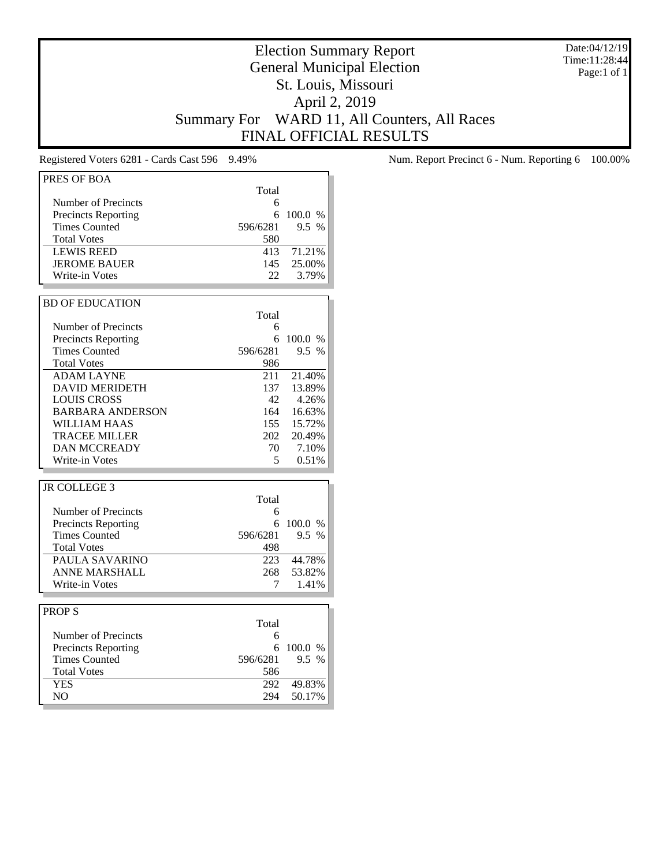Date:04/12/19 Time:11:28:44 Page:1 of 1

# Election Summary Report General Municipal Election St. Louis, Missouri April 2, 2019 Summary For WARD 11, All Counters, All Races FINAL OFFICIAL RESULTS

| PRES OF BOA                  |            |                  |
|------------------------------|------------|------------------|
|                              | Total      |                  |
|                              |            |                  |
| Number of Precincts          | 6          |                  |
| <b>Precincts Reporting</b>   | 6          | 100.0 %          |
| <b>Times Counted</b>         | 596/6281   | 9.5 %            |
| <b>Total Votes</b>           | 580        |                  |
| <b>LEWIS REED</b>            | 413        | 71.21%           |
| <b>JEROME BAUER</b>          | 145        | 25.00%           |
| <b>Write-in Votes</b>        | 22         | 3.79%            |
|                              |            |                  |
| <b>BD OF EDUCATION</b>       |            |                  |
|                              | Total      |                  |
| Number of Precincts          | 6          |                  |
| <b>Precincts Reporting</b>   | 6          | 100.0 %          |
| <b>Times Counted</b>         | 596/6281   | 9.5 %            |
|                              |            |                  |
| <b>Total Votes</b>           | 986        |                  |
| <b>ADAM LAYNE</b>            | 211        | 21.40%           |
| <b>DAVID MERIDETH</b>        | 137        | 13.89%           |
| <b>LOUIS CROSS</b>           | 42         | 4.26%            |
| <b>BARBARA ANDERSON</b>      | 164        | 16.63%           |
| WILLIAM HAAS                 | 155        | 15.72%           |
| TRACEE MILLER                | 202        | 20.49%           |
| <b>DAN MCCREADY</b>          | 70         | 7.10%            |
| Write-in Votes               | 5          | 0.51%            |
|                              |            |                  |
| <b>JR COLLEGE 3</b>          |            |                  |
|                              | Total      |                  |
| Number of Precincts          | 6          |                  |
| <b>Precincts Reporting</b>   | 6          | 100.0 %          |
| <b>Times Counted</b>         | 596/6281   | $9.5\%$          |
|                              |            |                  |
| <b>Total Votes</b>           | 498        |                  |
| PAULA SAVARINO               | 223        | 44.78%           |
| <b>ANNE MARSHALL</b>         | 268        | 53.82%           |
| <b>Write-in Votes</b>        |            |                  |
|                              | 7          | 1.41%            |
|                              |            |                  |
| <b>PROPS</b>                 |            |                  |
|                              | Total      |                  |
| Number of Precincts          | 6          |                  |
| <b>Precincts Reporting</b>   | 6          | 100.0 %          |
| <b>Times Counted</b>         | 596/6281   | 9.5 %            |
|                              |            |                  |
| <b>Total Votes</b>           | 586        |                  |
| <b>YES</b><br>N <sub>O</sub> | 292<br>294 | 49.83%<br>50.17% |

Registered Voters 6281 - Cards Cast 596 9.49% Num. Report Precinct 6 - Num. Reporting 6 100.00%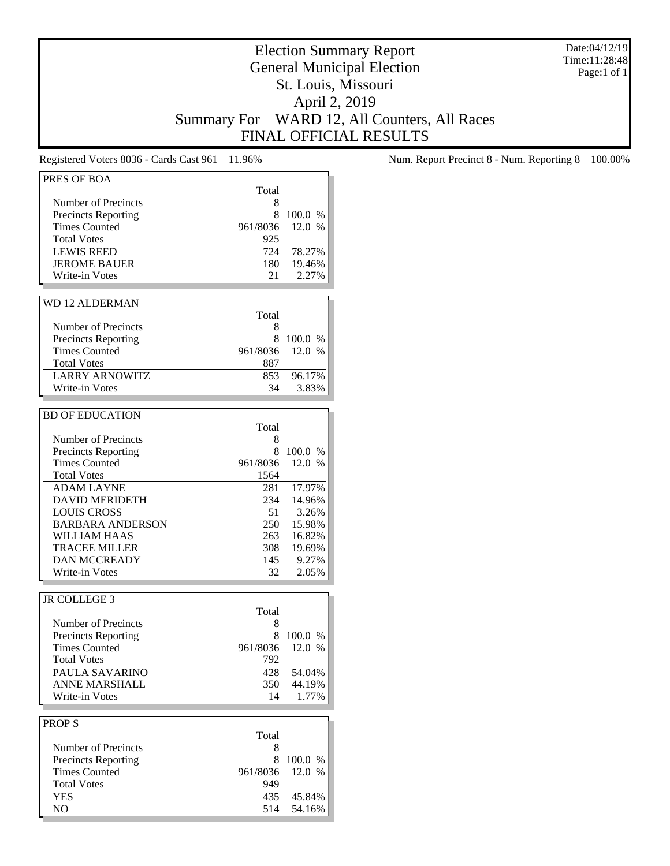Date:04/12/19 Time:11:28:48 Page:1 of 1

# Election Summary Report General Municipal Election St. Louis, Missouri April 2, 2019 Summary For WARD 12, All Counters, All Races FINAL OFFICIAL RESULTS

| PRES OF BOA                |          |         |
|----------------------------|----------|---------|
|                            |          |         |
|                            | Total    |         |
| Number of Precincts        | 8        |         |
| <b>Precincts Reporting</b> | 8        | 100.0 % |
| <b>Times Counted</b>       | 961/8036 | 12.0 %  |
| <b>Total Votes</b>         | 925      |         |
| <b>LEWIS REED</b>          | 724      | 78.27%  |
| <b>JEROME BAUER</b>        | 180      | 19.46%  |
| Write-in Votes             | 21       | 2.27%   |
|                            |          |         |
|                            |          |         |
| <b>WD 12 ALDERMAN</b>      |          |         |
|                            | Total    |         |
| Number of Precincts        | 8        |         |
| <b>Precincts Reporting</b> | 8        | 100.0 % |
| <b>Times Counted</b>       | 961/8036 | 12.0%   |
|                            |          |         |
| <b>Total Votes</b>         | 887      |         |
| <b>LARRY ARNOWITZ</b>      | 853      | 96.17%  |
| <b>Write-in Votes</b>      | 34       | 3.83%   |
|                            |          |         |
| <b>BD OF EDUCATION</b>     |          |         |
|                            | Total    |         |
|                            |          |         |
| Number of Precincts        | 8        |         |
| <b>Precincts Reporting</b> | 8        | 100.0 % |
| <b>Times Counted</b>       | 961/8036 | 12.0 %  |
| <b>Total Votes</b>         | 1564     |         |
| <b>ADAM LAYNE</b>          | 281      | 17.97%  |
| <b>DAVID MERIDETH</b>      | 234      | 14.96%  |
| <b>LOUIS CROSS</b>         | 51       | 3.26%   |
|                            |          |         |
| <b>BARBARA ANDERSON</b>    | 250      | 15.98%  |
| WILLIAM HAAS               | 263      | 16.82%  |
| <b>TRACEE MILLER</b>       | 308      | 19.69%  |
| <b>DAN MCCREADY</b>        | 145      | 9.27%   |
| Write-in Votes             | 32       | 2.05%   |
|                            |          |         |
|                            |          |         |
| JR COLLEGE 3               |          |         |
|                            | Total    |         |
| Number of Precincts        | 8        |         |
| <b>Precincts Reporting</b> | 8        | 100.0 % |
| <b>Times Counted</b>       | 961/8036 | 12.0%   |
| <b>Total Votes</b>         | 792      |         |
| PAULA SAVARINO             | 428      | 54.04%  |
| <b>ANNE MARSHALL</b>       |          |         |
|                            | 350      | 44.19%  |
| Write-in Votes             | 14       | 1.77%   |
|                            |          |         |
| <b>PROPS</b>               |          |         |
|                            | Total    |         |
| Number of Precincts        | 8        |         |
| <b>Precincts Reporting</b> | 8        | 100.0 % |
|                            |          |         |
| <b>Times Counted</b>       | 961/8036 | 12.0 %  |
| <b>Total Votes</b>         | 949      |         |
| <b>YES</b>                 | 435      | 45.84%  |
| NO                         | 514      | 54.16%  |
|                            |          |         |

Registered Voters 8036 - Cards Cast 961 11.96% Num. Report Precinct 8 - Num. Reporting 8 100.00%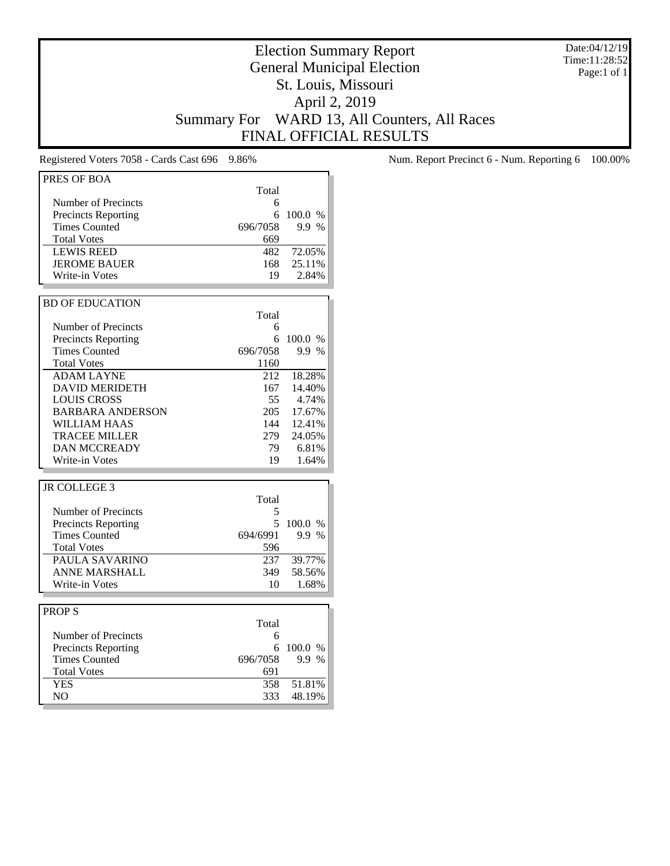Date:04/12/19 Time:11:28:52 Page:1 of 1

# Election Summary Report General Municipal Election St. Louis, Missouri April 2, 2019 Summary For WARD 13, All Counters, All Races FINAL OFFICIAL RESULTS

| PRES OF BOA                |          |         |
|----------------------------|----------|---------|
|                            |          |         |
|                            | Total    |         |
| Number of Precincts        | 6        |         |
| <b>Precincts Reporting</b> | 6        | 100.0 % |
| <b>Times Counted</b>       | 696/7058 | 9.9 %   |
| <b>Total Votes</b>         | 669      |         |
| <b>LEWIS REED</b>          | 482      | 72.05%  |
| <b>JEROME BAUER</b>        | 168      | 25.11%  |
| Write-in Votes             | 19       | 2.84%   |
|                            |          |         |
| <b>BD OF EDUCATION</b>     |          |         |
|                            | Total    |         |
| Number of Precincts        | 6        |         |
| <b>Precincts Reporting</b> | 6        | 100.0 % |
| <b>Times Counted</b>       | 696/7058 | 9.9 %   |
|                            |          |         |
| <b>Total Votes</b>         | 1160     |         |
| <b>ADAM LAYNE</b>          | 212      | 18.28%  |
| <b>DAVID MERIDETH</b>      | 167      | 14.40%  |
| <b>LOUIS CROSS</b>         | 55       | 4.74%   |
| <b>BARBARA ANDERSON</b>    | 205      | 17.67%  |
| <b>WILLIAM HAAS</b>        | 144      | 12.41%  |
| <b>TRACEE MILLER</b>       | 279      | 24.05%  |
| <b>DAN MCCREADY</b>        | 79       | 6.81%   |
| Write-in Votes             | 19       | 1.64%   |
|                            |          |         |
| <b>JR COLLEGE 3</b>        |          |         |
|                            | Total    |         |
| Number of Precincts        | 5        |         |
| <b>Precincts Reporting</b> | 5        | 100.0 % |
| <b>Times Counted</b>       | 694/6991 | 9.9 %   |
| <b>Total Votes</b>         | 596      |         |
| PAULA SAVARINO             |          | 39.77%  |
|                            | 237      |         |
| <b>ANNE MARSHALL</b>       | 349      | 58.56%  |
| Write-in Votes             | 10       | 1.68%   |
|                            |          |         |
| <b>PROPS</b>               |          |         |
|                            | Total    |         |
| Number of Precincts        | 6        |         |
| Precincts Reporting        | 6        | 100.0 % |
| <b>Times Counted</b>       | 696/7058 | 9.9 %   |
| <b>Total Votes</b>         | 691      |         |
| <b>YES</b>                 | 358      | 51.81%  |
| NO                         | 333      | 48.19%  |
|                            |          |         |

Registered Voters 7058 - Cards Cast 696 9.86% Num. Report Precinct 6 - Num. Reporting 6 100.00%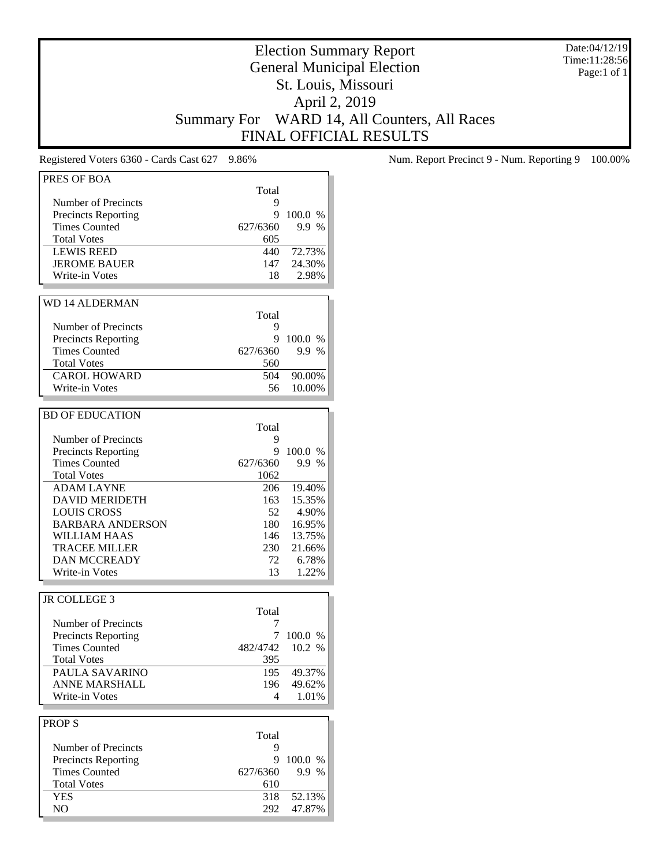Date:04/12/19 Time:11:28:56 Page:1 of 1

# Election Summary Report General Municipal Election St. Louis, Missouri April 2, 2019 Summary For WARD 14, All Counters, All Races FINAL OFFICIAL RESULTS

| Total<br>Number of Precincts<br>9<br>9<br>100.0 %<br><b>Precincts Reporting</b><br><b>Times Counted</b><br>627/6360<br>9.9 %<br><b>Total Votes</b><br>605<br>72.73%<br><b>LEWIS REED</b><br>440<br>24.30%<br><b>JEROME BAUER</b><br>147<br>Write-in Votes<br>2.98%<br>18<br><b>WD 14 ALDERMAN</b><br>Total<br>Number of Precincts<br>9<br><b>Precincts Reporting</b><br>9<br>100.0 %<br><b>Times Counted</b><br>627/6360<br>9.9 %<br><b>Total Votes</b><br>560<br><b>CAROL HOWARD</b><br>504<br>90.00%<br>10.00%<br>Write-in Votes<br>56<br><b>BD OF EDUCATION</b><br>Total<br>Number of Precincts<br>9<br><b>Precincts Reporting</b><br>9<br>100.0 %<br><b>Times Counted</b><br>627/6360<br>9.9 %<br><b>Total Votes</b><br>1062<br><b>ADAM LAYNE</b><br>19.40%<br>206<br>15.35%<br><b>DAVID MERIDETH</b><br>163<br><b>LOUIS CROSS</b><br>52<br>4.90%<br><b>BARBARA ANDERSON</b><br>180<br>16.95%<br><b>WILLIAM HAAS</b><br>146<br>13.75%<br><b>TRACEE MILLER</b><br>230<br>21.66%<br><b>DAN MCCREADY</b><br>6.78%<br>72<br>Write-in Votes<br>13<br>1.22%<br><b>JR COLLEGE 3</b><br>Total<br>Number of Precincts<br>7<br><b>Precincts Reporting</b><br>7<br>100.0 %<br><b>Times Counted</b><br>10.2 %<br>482/4742<br><b>Total Votes</b><br>395<br>PAULA SAVARINO<br>49.37%<br>195<br><b>ANNE MARSHALL</b><br>196<br>49.62%<br>Write-in Votes<br>1.01%<br>4<br><b>PROPS</b><br>Total<br>Number of Precincts<br>9<br><b>Precincts Reporting</b><br>9<br>100.0 %<br><b>Times Counted</b><br>627/6360<br>9.9 %<br><b>Total Votes</b><br>610<br>52.13%<br><b>YES</b><br>318<br>NO<br>47.87%<br>292 | PRES OF BOA |  |
|-----------------------------------------------------------------------------------------------------------------------------------------------------------------------------------------------------------------------------------------------------------------------------------------------------------------------------------------------------------------------------------------------------------------------------------------------------------------------------------------------------------------------------------------------------------------------------------------------------------------------------------------------------------------------------------------------------------------------------------------------------------------------------------------------------------------------------------------------------------------------------------------------------------------------------------------------------------------------------------------------------------------------------------------------------------------------------------------------------------------------------------------------------------------------------------------------------------------------------------------------------------------------------------------------------------------------------------------------------------------------------------------------------------------------------------------------------------------------------------------------------------------------------------------------------------------------------------------------|-------------|--|
|                                                                                                                                                                                                                                                                                                                                                                                                                                                                                                                                                                                                                                                                                                                                                                                                                                                                                                                                                                                                                                                                                                                                                                                                                                                                                                                                                                                                                                                                                                                                                                                               |             |  |
|                                                                                                                                                                                                                                                                                                                                                                                                                                                                                                                                                                                                                                                                                                                                                                                                                                                                                                                                                                                                                                                                                                                                                                                                                                                                                                                                                                                                                                                                                                                                                                                               |             |  |
|                                                                                                                                                                                                                                                                                                                                                                                                                                                                                                                                                                                                                                                                                                                                                                                                                                                                                                                                                                                                                                                                                                                                                                                                                                                                                                                                                                                                                                                                                                                                                                                               |             |  |
|                                                                                                                                                                                                                                                                                                                                                                                                                                                                                                                                                                                                                                                                                                                                                                                                                                                                                                                                                                                                                                                                                                                                                                                                                                                                                                                                                                                                                                                                                                                                                                                               |             |  |
|                                                                                                                                                                                                                                                                                                                                                                                                                                                                                                                                                                                                                                                                                                                                                                                                                                                                                                                                                                                                                                                                                                                                                                                                                                                                                                                                                                                                                                                                                                                                                                                               |             |  |
|                                                                                                                                                                                                                                                                                                                                                                                                                                                                                                                                                                                                                                                                                                                                                                                                                                                                                                                                                                                                                                                                                                                                                                                                                                                                                                                                                                                                                                                                                                                                                                                               |             |  |
|                                                                                                                                                                                                                                                                                                                                                                                                                                                                                                                                                                                                                                                                                                                                                                                                                                                                                                                                                                                                                                                                                                                                                                                                                                                                                                                                                                                                                                                                                                                                                                                               |             |  |
|                                                                                                                                                                                                                                                                                                                                                                                                                                                                                                                                                                                                                                                                                                                                                                                                                                                                                                                                                                                                                                                                                                                                                                                                                                                                                                                                                                                                                                                                                                                                                                                               |             |  |
|                                                                                                                                                                                                                                                                                                                                                                                                                                                                                                                                                                                                                                                                                                                                                                                                                                                                                                                                                                                                                                                                                                                                                                                                                                                                                                                                                                                                                                                                                                                                                                                               |             |  |
|                                                                                                                                                                                                                                                                                                                                                                                                                                                                                                                                                                                                                                                                                                                                                                                                                                                                                                                                                                                                                                                                                                                                                                                                                                                                                                                                                                                                                                                                                                                                                                                               |             |  |
|                                                                                                                                                                                                                                                                                                                                                                                                                                                                                                                                                                                                                                                                                                                                                                                                                                                                                                                                                                                                                                                                                                                                                                                                                                                                                                                                                                                                                                                                                                                                                                                               |             |  |
|                                                                                                                                                                                                                                                                                                                                                                                                                                                                                                                                                                                                                                                                                                                                                                                                                                                                                                                                                                                                                                                                                                                                                                                                                                                                                                                                                                                                                                                                                                                                                                                               |             |  |
|                                                                                                                                                                                                                                                                                                                                                                                                                                                                                                                                                                                                                                                                                                                                                                                                                                                                                                                                                                                                                                                                                                                                                                                                                                                                                                                                                                                                                                                                                                                                                                                               |             |  |
|                                                                                                                                                                                                                                                                                                                                                                                                                                                                                                                                                                                                                                                                                                                                                                                                                                                                                                                                                                                                                                                                                                                                                                                                                                                                                                                                                                                                                                                                                                                                                                                               |             |  |
|                                                                                                                                                                                                                                                                                                                                                                                                                                                                                                                                                                                                                                                                                                                                                                                                                                                                                                                                                                                                                                                                                                                                                                                                                                                                                                                                                                                                                                                                                                                                                                                               |             |  |
|                                                                                                                                                                                                                                                                                                                                                                                                                                                                                                                                                                                                                                                                                                                                                                                                                                                                                                                                                                                                                                                                                                                                                                                                                                                                                                                                                                                                                                                                                                                                                                                               |             |  |
|                                                                                                                                                                                                                                                                                                                                                                                                                                                                                                                                                                                                                                                                                                                                                                                                                                                                                                                                                                                                                                                                                                                                                                                                                                                                                                                                                                                                                                                                                                                                                                                               |             |  |
|                                                                                                                                                                                                                                                                                                                                                                                                                                                                                                                                                                                                                                                                                                                                                                                                                                                                                                                                                                                                                                                                                                                                                                                                                                                                                                                                                                                                                                                                                                                                                                                               |             |  |
|                                                                                                                                                                                                                                                                                                                                                                                                                                                                                                                                                                                                                                                                                                                                                                                                                                                                                                                                                                                                                                                                                                                                                                                                                                                                                                                                                                                                                                                                                                                                                                                               |             |  |
|                                                                                                                                                                                                                                                                                                                                                                                                                                                                                                                                                                                                                                                                                                                                                                                                                                                                                                                                                                                                                                                                                                                                                                                                                                                                                                                                                                                                                                                                                                                                                                                               |             |  |
|                                                                                                                                                                                                                                                                                                                                                                                                                                                                                                                                                                                                                                                                                                                                                                                                                                                                                                                                                                                                                                                                                                                                                                                                                                                                                                                                                                                                                                                                                                                                                                                               |             |  |
|                                                                                                                                                                                                                                                                                                                                                                                                                                                                                                                                                                                                                                                                                                                                                                                                                                                                                                                                                                                                                                                                                                                                                                                                                                                                                                                                                                                                                                                                                                                                                                                               |             |  |
|                                                                                                                                                                                                                                                                                                                                                                                                                                                                                                                                                                                                                                                                                                                                                                                                                                                                                                                                                                                                                                                                                                                                                                                                                                                                                                                                                                                                                                                                                                                                                                                               |             |  |
|                                                                                                                                                                                                                                                                                                                                                                                                                                                                                                                                                                                                                                                                                                                                                                                                                                                                                                                                                                                                                                                                                                                                                                                                                                                                                                                                                                                                                                                                                                                                                                                               |             |  |
|                                                                                                                                                                                                                                                                                                                                                                                                                                                                                                                                                                                                                                                                                                                                                                                                                                                                                                                                                                                                                                                                                                                                                                                                                                                                                                                                                                                                                                                                                                                                                                                               |             |  |
|                                                                                                                                                                                                                                                                                                                                                                                                                                                                                                                                                                                                                                                                                                                                                                                                                                                                                                                                                                                                                                                                                                                                                                                                                                                                                                                                                                                                                                                                                                                                                                                               |             |  |
|                                                                                                                                                                                                                                                                                                                                                                                                                                                                                                                                                                                                                                                                                                                                                                                                                                                                                                                                                                                                                                                                                                                                                                                                                                                                                                                                                                                                                                                                                                                                                                                               |             |  |
|                                                                                                                                                                                                                                                                                                                                                                                                                                                                                                                                                                                                                                                                                                                                                                                                                                                                                                                                                                                                                                                                                                                                                                                                                                                                                                                                                                                                                                                                                                                                                                                               |             |  |
|                                                                                                                                                                                                                                                                                                                                                                                                                                                                                                                                                                                                                                                                                                                                                                                                                                                                                                                                                                                                                                                                                                                                                                                                                                                                                                                                                                                                                                                                                                                                                                                               |             |  |
|                                                                                                                                                                                                                                                                                                                                                                                                                                                                                                                                                                                                                                                                                                                                                                                                                                                                                                                                                                                                                                                                                                                                                                                                                                                                                                                                                                                                                                                                                                                                                                                               |             |  |
|                                                                                                                                                                                                                                                                                                                                                                                                                                                                                                                                                                                                                                                                                                                                                                                                                                                                                                                                                                                                                                                                                                                                                                                                                                                                                                                                                                                                                                                                                                                                                                                               |             |  |
|                                                                                                                                                                                                                                                                                                                                                                                                                                                                                                                                                                                                                                                                                                                                                                                                                                                                                                                                                                                                                                                                                                                                                                                                                                                                                                                                                                                                                                                                                                                                                                                               |             |  |
|                                                                                                                                                                                                                                                                                                                                                                                                                                                                                                                                                                                                                                                                                                                                                                                                                                                                                                                                                                                                                                                                                                                                                                                                                                                                                                                                                                                                                                                                                                                                                                                               |             |  |
|                                                                                                                                                                                                                                                                                                                                                                                                                                                                                                                                                                                                                                                                                                                                                                                                                                                                                                                                                                                                                                                                                                                                                                                                                                                                                                                                                                                                                                                                                                                                                                                               |             |  |
|                                                                                                                                                                                                                                                                                                                                                                                                                                                                                                                                                                                                                                                                                                                                                                                                                                                                                                                                                                                                                                                                                                                                                                                                                                                                                                                                                                                                                                                                                                                                                                                               |             |  |
|                                                                                                                                                                                                                                                                                                                                                                                                                                                                                                                                                                                                                                                                                                                                                                                                                                                                                                                                                                                                                                                                                                                                                                                                                                                                                                                                                                                                                                                                                                                                                                                               |             |  |
|                                                                                                                                                                                                                                                                                                                                                                                                                                                                                                                                                                                                                                                                                                                                                                                                                                                                                                                                                                                                                                                                                                                                                                                                                                                                                                                                                                                                                                                                                                                                                                                               |             |  |
|                                                                                                                                                                                                                                                                                                                                                                                                                                                                                                                                                                                                                                                                                                                                                                                                                                                                                                                                                                                                                                                                                                                                                                                                                                                                                                                                                                                                                                                                                                                                                                                               |             |  |
|                                                                                                                                                                                                                                                                                                                                                                                                                                                                                                                                                                                                                                                                                                                                                                                                                                                                                                                                                                                                                                                                                                                                                                                                                                                                                                                                                                                                                                                                                                                                                                                               |             |  |
|                                                                                                                                                                                                                                                                                                                                                                                                                                                                                                                                                                                                                                                                                                                                                                                                                                                                                                                                                                                                                                                                                                                                                                                                                                                                                                                                                                                                                                                                                                                                                                                               |             |  |
|                                                                                                                                                                                                                                                                                                                                                                                                                                                                                                                                                                                                                                                                                                                                                                                                                                                                                                                                                                                                                                                                                                                                                                                                                                                                                                                                                                                                                                                                                                                                                                                               |             |  |
|                                                                                                                                                                                                                                                                                                                                                                                                                                                                                                                                                                                                                                                                                                                                                                                                                                                                                                                                                                                                                                                                                                                                                                                                                                                                                                                                                                                                                                                                                                                                                                                               |             |  |
|                                                                                                                                                                                                                                                                                                                                                                                                                                                                                                                                                                                                                                                                                                                                                                                                                                                                                                                                                                                                                                                                                                                                                                                                                                                                                                                                                                                                                                                                                                                                                                                               |             |  |
|                                                                                                                                                                                                                                                                                                                                                                                                                                                                                                                                                                                                                                                                                                                                                                                                                                                                                                                                                                                                                                                                                                                                                                                                                                                                                                                                                                                                                                                                                                                                                                                               |             |  |
|                                                                                                                                                                                                                                                                                                                                                                                                                                                                                                                                                                                                                                                                                                                                                                                                                                                                                                                                                                                                                                                                                                                                                                                                                                                                                                                                                                                                                                                                                                                                                                                               |             |  |
|                                                                                                                                                                                                                                                                                                                                                                                                                                                                                                                                                                                                                                                                                                                                                                                                                                                                                                                                                                                                                                                                                                                                                                                                                                                                                                                                                                                                                                                                                                                                                                                               |             |  |
|                                                                                                                                                                                                                                                                                                                                                                                                                                                                                                                                                                                                                                                                                                                                                                                                                                                                                                                                                                                                                                                                                                                                                                                                                                                                                                                                                                                                                                                                                                                                                                                               |             |  |
|                                                                                                                                                                                                                                                                                                                                                                                                                                                                                                                                                                                                                                                                                                                                                                                                                                                                                                                                                                                                                                                                                                                                                                                                                                                                                                                                                                                                                                                                                                                                                                                               |             |  |
|                                                                                                                                                                                                                                                                                                                                                                                                                                                                                                                                                                                                                                                                                                                                                                                                                                                                                                                                                                                                                                                                                                                                                                                                                                                                                                                                                                                                                                                                                                                                                                                               |             |  |
|                                                                                                                                                                                                                                                                                                                                                                                                                                                                                                                                                                                                                                                                                                                                                                                                                                                                                                                                                                                                                                                                                                                                                                                                                                                                                                                                                                                                                                                                                                                                                                                               |             |  |
|                                                                                                                                                                                                                                                                                                                                                                                                                                                                                                                                                                                                                                                                                                                                                                                                                                                                                                                                                                                                                                                                                                                                                                                                                                                                                                                                                                                                                                                                                                                                                                                               |             |  |
|                                                                                                                                                                                                                                                                                                                                                                                                                                                                                                                                                                                                                                                                                                                                                                                                                                                                                                                                                                                                                                                                                                                                                                                                                                                                                                                                                                                                                                                                                                                                                                                               |             |  |
|                                                                                                                                                                                                                                                                                                                                                                                                                                                                                                                                                                                                                                                                                                                                                                                                                                                                                                                                                                                                                                                                                                                                                                                                                                                                                                                                                                                                                                                                                                                                                                                               |             |  |
|                                                                                                                                                                                                                                                                                                                                                                                                                                                                                                                                                                                                                                                                                                                                                                                                                                                                                                                                                                                                                                                                                                                                                                                                                                                                                                                                                                                                                                                                                                                                                                                               |             |  |
|                                                                                                                                                                                                                                                                                                                                                                                                                                                                                                                                                                                                                                                                                                                                                                                                                                                                                                                                                                                                                                                                                                                                                                                                                                                                                                                                                                                                                                                                                                                                                                                               |             |  |
|                                                                                                                                                                                                                                                                                                                                                                                                                                                                                                                                                                                                                                                                                                                                                                                                                                                                                                                                                                                                                                                                                                                                                                                                                                                                                                                                                                                                                                                                                                                                                                                               |             |  |
|                                                                                                                                                                                                                                                                                                                                                                                                                                                                                                                                                                                                                                                                                                                                                                                                                                                                                                                                                                                                                                                                                                                                                                                                                                                                                                                                                                                                                                                                                                                                                                                               |             |  |
|                                                                                                                                                                                                                                                                                                                                                                                                                                                                                                                                                                                                                                                                                                                                                                                                                                                                                                                                                                                                                                                                                                                                                                                                                                                                                                                                                                                                                                                                                                                                                                                               |             |  |
|                                                                                                                                                                                                                                                                                                                                                                                                                                                                                                                                                                                                                                                                                                                                                                                                                                                                                                                                                                                                                                                                                                                                                                                                                                                                                                                                                                                                                                                                                                                                                                                               |             |  |

Registered Voters 6360 - Cards Cast 627 9.86% Num. Report Precinct 9 - Num. Reporting 9 100.00%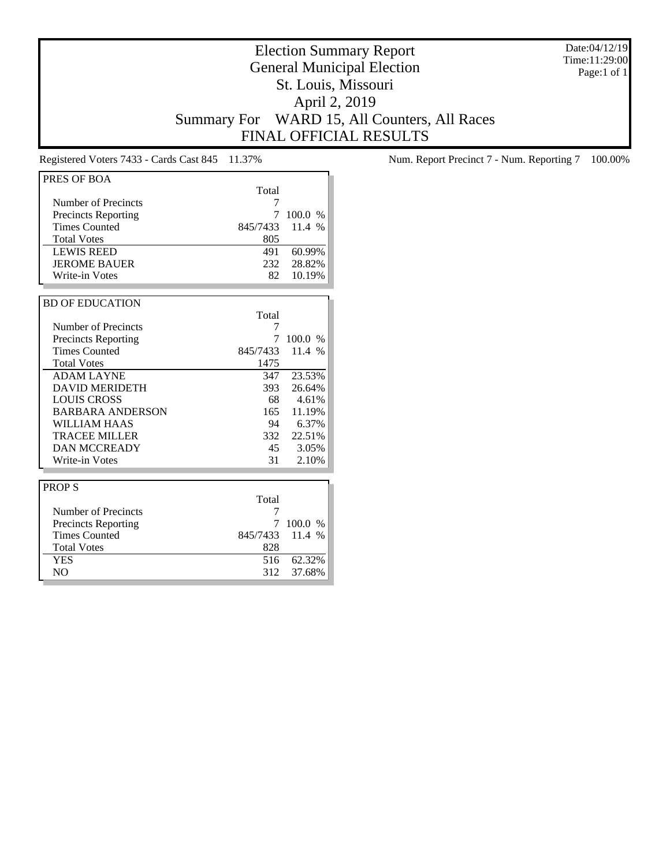Date:04/12/19 Time:11:29:00 Page:1 of 1

# Election Summary Report General Municipal Election St. Louis, Missouri April 2, 2019 Summary For WARD 15, All Counters, All Races FINAL OFFICIAL RESULTS

| PRES OF BOA                |          |         |
|----------------------------|----------|---------|
|                            | Total    |         |
| Number of Precincts        | 7        |         |
| <b>Precincts Reporting</b> | 7        | 100.0 % |
| <b>Times Counted</b>       | 845/7433 | 11.4 %  |
| <b>Total Votes</b>         | 805      |         |
| <b>LEWIS REED</b>          | 491      | 60.99%  |
| <b>JEROME BAUER</b>        | 232      | 28.82%  |
| Write-in Votes             | 82       | 10.19%  |
|                            |          |         |
| <b>BD OF EDUCATION</b>     |          |         |
|                            | Total    |         |
| Number of Precincts        | 7        |         |
| <b>Precincts Reporting</b> | 7        | 100.0 % |
| <b>Times Counted</b>       | 845/7433 | 11.4 %  |
| <b>Total Votes</b>         | 1475     |         |
| <b>ADAM LAYNE</b>          | 347      | 23.53%  |
| <b>DAVID MERIDETH</b>      | 393      | 26.64%  |
| <b>LOUIS CROSS</b>         | 68       | 4.61%   |
| <b>BARBARA ANDERSON</b>    | 165      | 11.19%  |
| WILLIAM HAAS               | 94       | 6.37%   |
| <b>TRACEE MILLER</b>       | 332      | 22.51%  |
| <b>DAN MCCREADY</b>        | 45       | 3.05%   |
| Write-in Votes             | 31       | 2.10%   |
|                            |          |         |
| <b>PROPS</b>               |          |         |
|                            | Total    |         |
| Number of Precincts        | 7        |         |
| <b>Precincts Reporting</b> | 7        | 100.0 % |
| <b>Times Counted</b>       | 845/7433 | 11.4 %  |
| <b>Total Votes</b>         | 828      |         |
| <b>YES</b>                 | 516      | 62.32%  |
| N <sub>O</sub>             | 312      | 37.68%  |

Registered Voters 7433 - Cards Cast 845 11.37% Num. Report Precinct 7 - Num. Reporting 7 100.00%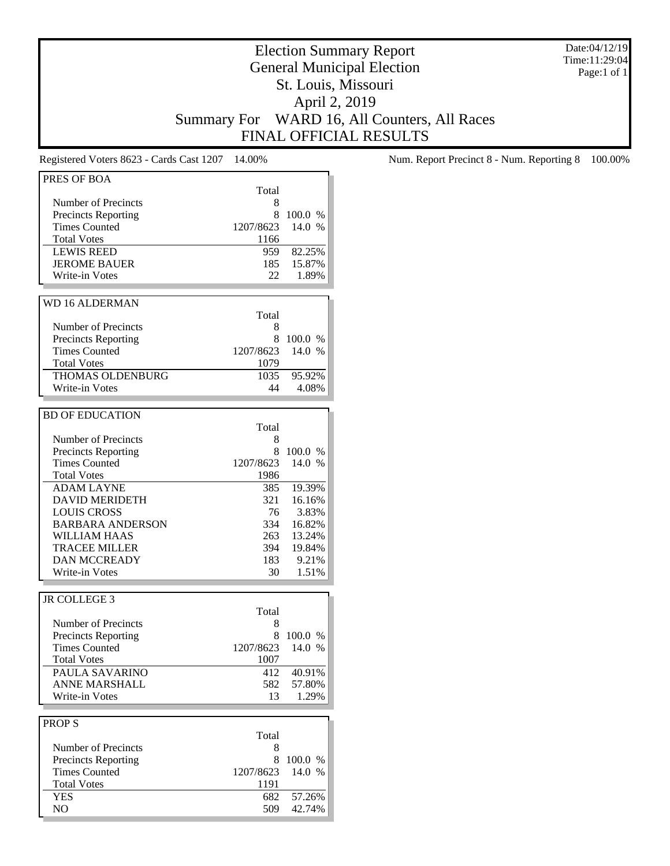Date:04/12/19 Time:11:29:04 Page:1 of 1

# Election Summary Report General Municipal Election St. Louis, Missouri April 2, 2019 Summary For WARD 16, All Counters, All Races FINAL OFFICIAL RESULTS

| PRES OF BOA                |           |         |
|----------------------------|-----------|---------|
|                            | Total     |         |
| Number of Precincts        | 8         |         |
| <b>Precincts Reporting</b> | 8         | 100.0 % |
| <b>Times Counted</b>       | 1207/8623 | 14.0 %  |
|                            |           |         |
| <b>Total Votes</b>         | 1166      |         |
| <b>LEWIS REED</b>          | 959       | 82.25%  |
| <b>JEROME BAUER</b>        | 185       | 15.87%  |
| Write-in Votes             | 22        | 1.89%   |
|                            |           |         |
| <b>WD 16 ALDERMAN</b>      |           |         |
|                            | Total     |         |
| Number of Precincts        | 8         |         |
| <b>Precincts Reporting</b> | 8         | 100.0 % |
| <b>Times Counted</b>       | 1207/8623 | 14.0 %  |
|                            |           |         |
| <b>Total Votes</b>         | 1079      |         |
| THOMAS OLDENBURG           | 1035      | 95.92%  |
| Write-in Votes             | 44        | 4.08%   |
|                            |           |         |
| <b>BD OF EDUCATION</b>     |           |         |
|                            | Total     |         |
| Number of Precincts        | 8         |         |
| <b>Precincts Reporting</b> | 8         | 100.0 % |
| <b>Times Counted</b>       | 1207/8623 | 14.0 %  |
| <b>Total Votes</b>         | 1986      |         |
|                            |           |         |
| <b>ADAM LAYNE</b>          | 385       | 19.39%  |
| <b>DAVID MERIDETH</b>      | 321       | 16.16%  |
| <b>LOUIS CROSS</b>         | 76        | 3.83%   |
| <b>BARBARA ANDERSON</b>    | 334       | 16.82%  |
| WILLIAM HAAS               | 263       | 13.24%  |
| <b>TRACEE MILLER</b>       | 394       | 19.84%  |
| <b>DAN MCCREADY</b>        | 183       | 9.21%   |
| Write-in Votes             | 30        | 1.51%   |
|                            |           |         |
| JR COLLEGE 3               |           |         |
|                            | Total     |         |
| Number of Precincts        |           |         |
|                            | 8         |         |
| <b>Precincts Reporting</b> | 8         | 100.0 % |
| <b>Times Counted</b>       | 1207/8623 | 14.0%   |
| <b>Total Votes</b>         | 1007      |         |
| PAULA SAVARINO             | 412       | 40.91%  |
| <b>ANNE MARSHALL</b>       | 582       | 57.80%  |
| Write-in Votes             | 13        | 1.29%   |
|                            |           |         |
| <b>PROPS</b>               |           |         |
|                            | Total     |         |
|                            |           |         |
| Number of Precincts        | 8         |         |
| <b>Precincts Reporting</b> | 8         | 100.0 % |
| <b>Times Counted</b>       | 1207/8623 | 14.0 %  |
| <b>Total Votes</b>         | 1191      |         |
| YES                        | 682       | 57.26%  |
| NO                         | 509       | 42.74%  |
|                            |           |         |

Registered Voters 8623 - Cards Cast 1207 14.00% Num. Report Precinct 8 - Num. Reporting 8 100.00%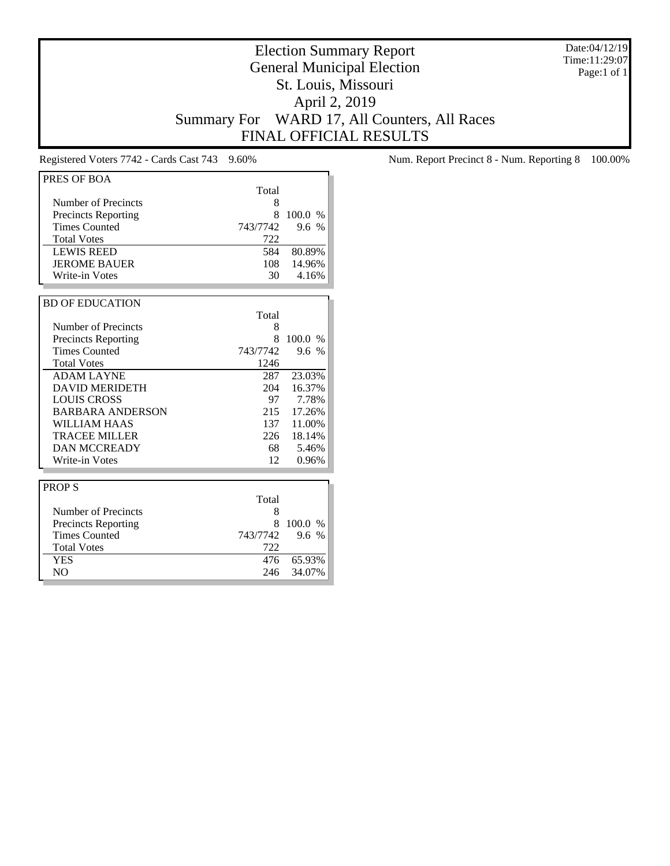Date:04/12/19 Time:11:29:07 Page:1 of 1

# Election Summary Report General Municipal Election St. Louis, Missouri April 2, 2019 Summary For WARD 17, All Counters, All Races FINAL OFFICIAL RESULTS

| PRES OF BOA                |          |         |
|----------------------------|----------|---------|
|                            | Total    |         |
| Number of Precincts        | 8        |         |
| <b>Precincts Reporting</b> | 8        | 100.0 % |
| <b>Times Counted</b>       | 743/7742 | 9.6%    |
| <b>Total Votes</b>         | 722      |         |
| <b>LEWIS REED</b>          | 584      | 80.89%  |
| <b>JEROME BAUER</b>        | 108      | 14.96%  |
| Write-in Votes             | 30       | 4.16%   |
|                            |          |         |
| <b>BD OF EDUCATION</b>     |          |         |
|                            | Total    |         |
| Number of Precincts        | 8        |         |
| <b>Precincts Reporting</b> | 8        | 100.0 % |
| <b>Times Counted</b>       | 743/7742 | 9.6 %   |
| <b>Total Votes</b>         | 1246     |         |
| <b>ADAM LAYNE</b>          | 287      | 23.03%  |
| <b>DAVID MERIDETH</b>      | 204      | 16.37%  |
| <b>LOUIS CROSS</b>         | 97       | 7.78%   |
| <b>BARBARA ANDERSON</b>    | 215      | 17.26%  |
| WILLIAM HAAS               | 137      | 11.00%  |
| <b>TRACEE MILLER</b>       | 226      | 18.14%  |
| <b>DAN MCCREADY</b>        | 68       | 5.46%   |
| Write-in Votes             | 12       | 0.96%   |
|                            |          |         |
| <b>PROPS</b>               |          |         |
|                            | Total    |         |
| Number of Precincts        | 8        |         |
| <b>Precincts Reporting</b> | 8        | 100.0%  |
| <b>Times Counted</b>       | 743/7742 | 9.6 %   |
| <b>Total Votes</b>         | 722      |         |
| <b>YES</b>                 | 476      | 65.93%  |
| N <sub>O</sub>             | 246      | 34.07%  |

Registered Voters 7742 - Cards Cast 743 9.60% Num. Report Precinct 8 - Num. Reporting 8 100.00%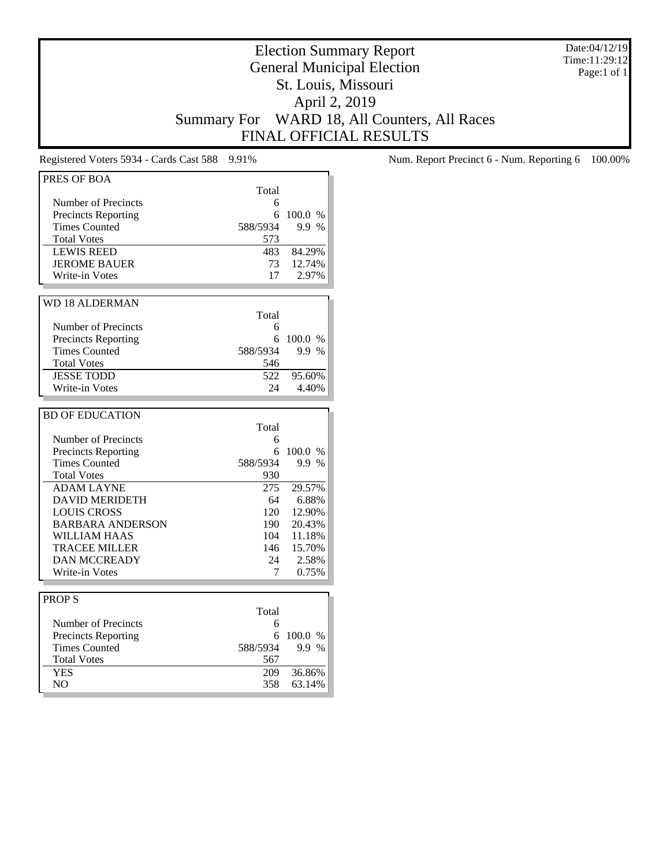Date:04/12/19 Time:11:29:12 Page:1 of 1

# Election Summary Report General Municipal Election St. Louis, Missouri April 2, 2019 Summary For WARD 18, All Counters, All Races FINAL OFFICIAL RESULTS

| PRES OF BOA                                        |          |         |
|----------------------------------------------------|----------|---------|
|                                                    | Total    |         |
| Number of Precincts                                | 6        |         |
| <b>Precincts Reporting</b>                         | 6        | 100.0 % |
| <b>Times Counted</b>                               | 588/5934 | 9.9 %   |
| <b>Total Votes</b>                                 | 573      |         |
| <b>LEWIS REED</b>                                  | 483      | 84.29%  |
| <b>JEROME BAUER</b>                                | 73       | 12.74%  |
| Write-in Votes                                     | 17       | 2.97%   |
|                                                    |          |         |
| <b>WD 18 ALDERMAN</b>                              |          |         |
|                                                    | Total    |         |
| Number of Precincts                                | 6        |         |
|                                                    | 6        | 100.0%  |
| <b>Precincts Reporting</b><br><b>Times Counted</b> |          | 9.9 %   |
|                                                    | 588/5934 |         |
| <b>Total Votes</b>                                 | 546      |         |
| <b>JESSE TODD</b>                                  | 522      | 95.60%  |
| Write-in Votes                                     | 24       | 4.40%   |
|                                                    |          |         |
| <b>BD OF EDUCATION</b>                             |          |         |
|                                                    | Total    |         |
| Number of Precincts                                | 6        |         |
| <b>Precincts Reporting</b>                         | 6        | 100.0 % |
| <b>Times Counted</b>                               | 588/5934 | 9.9 %   |
| <b>Total Votes</b>                                 | 930      |         |
| <b>ADAM LAYNE</b>                                  | 275      | 29.57%  |
| <b>DAVID MERIDETH</b>                              | 64       | 6.88%   |
| <b>LOUIS CROSS</b>                                 | 120      | 12.90%  |
| <b>BARBARA ANDERSON</b>                            | 190      | 20.43%  |
| <b>WILLIAM HAAS</b>                                | 104      | 11.18%  |
| TRACEE MILLER                                      | 146      | 15.70%  |
| <b>DAN MCCREADY</b>                                | 24       | 2.58%   |
| Write-in Votes                                     | 7        | 0.75%   |
|                                                    |          |         |
| <b>PROPS</b>                                       |          |         |
|                                                    | Total    |         |
| Number of Precincts                                | 6        |         |
| <b>Precincts Reporting</b>                         | 6        | 100.0 % |
| <b>Times Counted</b>                               | 588/5934 | 9.9 %   |
| <b>Total Votes</b>                                 | 567      |         |
| <b>YES</b>                                         | 209      | 36.86%  |
| N <sub>O</sub>                                     | 358      | 63.14%  |
|                                                    |          |         |

Registered Voters 5934 - Cards Cast 588 9.91% Num. Report Precinct 6 - Num. Reporting 6 100.00%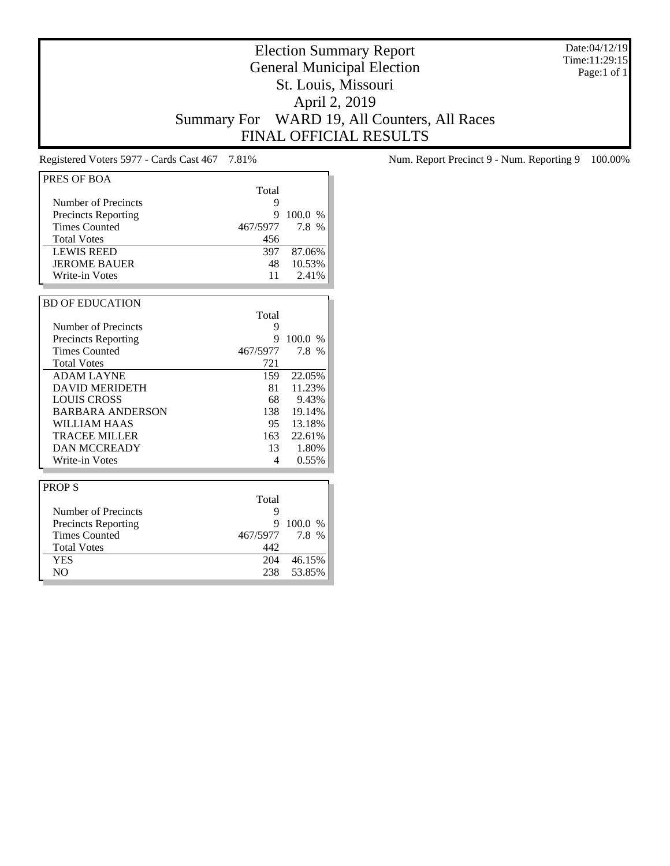Date:04/12/19 Time:11:29:15 Page:1 of 1

# Election Summary Report General Municipal Election St. Louis, Missouri April 2, 2019 Summary For WARD 19, All Counters, All Races FINAL OFFICIAL RESULTS

| PRES OF BOA                |          |         |
|----------------------------|----------|---------|
|                            | Total    |         |
| Number of Precincts        | 9        |         |
| <b>Precincts Reporting</b> | 9        | 100.0 % |
| <b>Times Counted</b>       | 467/5977 | 7.8 %   |
| <b>Total Votes</b>         | 456      |         |
| <b>LEWIS REED</b>          | 397      | 87.06%  |
| <b>JEROME BAUER</b>        | 48       | 10.53%  |
| Write-in Votes             | 11       | 2.41%   |
|                            |          |         |
| <b>BD OF EDUCATION</b>     |          |         |
|                            | Total    |         |
| Number of Precincts        | 9        |         |
| <b>Precincts Reporting</b> | 9        | 100.0 % |
| <b>Times Counted</b>       | 467/5977 | 7.8 %   |
| <b>Total Votes</b>         | 721      |         |
| <b>ADAM LAYNE</b>          | 159      | 22.05%  |
| <b>DAVID MERIDETH</b>      | 81       | 11.23%  |
| <b>LOUIS CROSS</b>         | 68       | 9.43%   |
| <b>BARBARA ANDERSON</b>    | 138      | 19.14%  |
| <b>WILLIAM HAAS</b>        | 95       | 13.18%  |
| <b>TRACEE MILLER</b>       | 163      | 22.61%  |
| <b>DAN MCCREADY</b>        | 13       | 1.80%   |
| Write-in Votes             | 4        | 0.55%   |
|                            |          |         |
| <b>PROPS</b>               |          |         |
|                            | Total    |         |
| Number of Precincts        | 9        |         |
| <b>Precincts Reporting</b> | 9        | 100.0 % |
| <b>Times Counted</b>       | 467/5977 | 7.8 %   |
| <b>Total Votes</b>         | 442      |         |
| <b>YES</b>                 | 204      | 46.15%  |
| N <sub>O</sub>             | 238      | 53.85%  |

Registered Voters 5977 - Cards Cast 467 7.81% Num. Report Precinct 9 - Num. Reporting 9 100.00%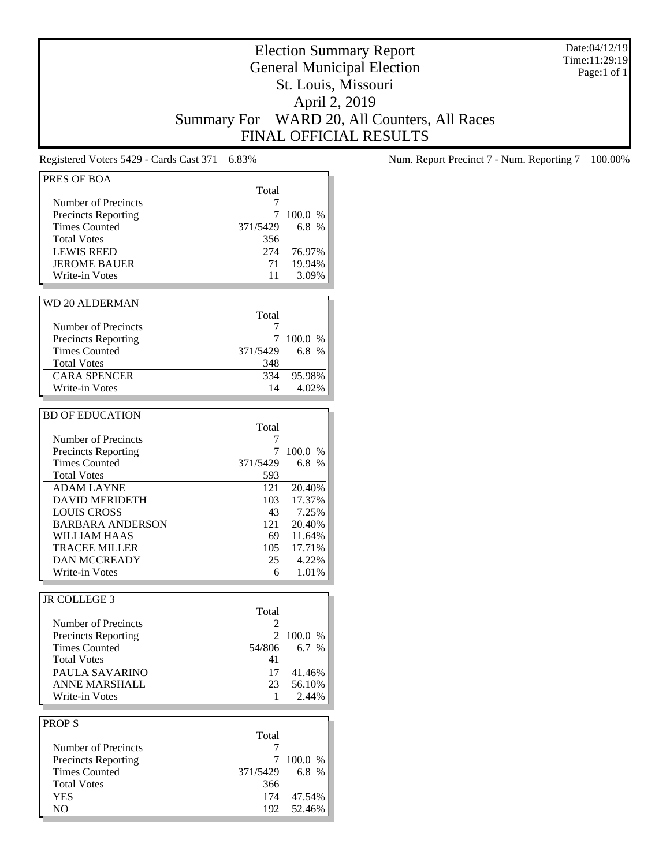Date:04/12/19 Time:11:29:19 Page:1 of 1

# Election Summary Report General Municipal Election St. Louis, Missouri April 2, 2019 Summary For WARD 20, All Counters, All Races FINAL OFFICIAL RESULTS

| Total<br>Number of Precincts<br>7<br>7<br>100.0 %<br><b>Precincts Reporting</b><br><b>Times Counted</b><br>6.8%<br>371/5429<br><b>Total Votes</b><br>356<br>274<br>76.97%<br><b>LEWIS REED</b><br><b>JEROME BAUER</b><br>19.94%<br>71<br>Write-in Votes<br>11<br>3.09%<br><b>WD 20 ALDERMAN</b><br>Total<br>Number of Precincts<br>7<br><b>Precincts Reporting</b><br>7<br>100.0 %<br><b>Times Counted</b><br>371/5429<br>6.8 $%$<br><b>Total Votes</b><br>348<br><b>CARA SPENCER</b><br>334<br>95.98%<br>Write-in Votes<br>14<br>4.02%<br><b>BD OF EDUCATION</b><br>Total<br>Number of Precincts<br>7<br><b>Precincts Reporting</b><br>7<br>100.0 %<br><b>Times Counted</b><br>6.8 %<br>371/5429<br><b>Total Votes</b><br>593<br><b>ADAM LAYNE</b><br>20.40%<br>121<br>17.37%<br><b>DAVID MERIDETH</b><br>103<br>7.25%<br><b>LOUIS CROSS</b><br>43<br><b>BARBARA ANDERSON</b><br>121<br>20.40%<br>WILLIAM HAAS<br>69<br>11.64%<br><b>TRACEE MILLER</b><br>17.71%<br>105<br><b>DAN MCCREADY</b><br>4.22%<br>25<br>Write-in Votes<br>1.01%<br>6<br>JR COLLEGE 3<br>Total<br>Number of Precincts<br>2<br><b>Precincts Reporting</b><br>$\overline{2}$<br>100.0%<br><b>Times Counted</b><br>54/806<br>6.7 %<br><b>Total Votes</b><br>41<br>PAULA SAVARINO<br>$17\,$<br>41.46%<br><b>ANNE MARSHALL</b><br>23<br>56.10%<br>2.44%<br>Write-in Votes<br>1<br><b>PROPS</b><br>Total<br>Number of Precincts<br>7 | PRES OF BOA                |          |         |
|---------------------------------------------------------------------------------------------------------------------------------------------------------------------------------------------------------------------------------------------------------------------------------------------------------------------------------------------------------------------------------------------------------------------------------------------------------------------------------------------------------------------------------------------------------------------------------------------------------------------------------------------------------------------------------------------------------------------------------------------------------------------------------------------------------------------------------------------------------------------------------------------------------------------------------------------------------------------------------------------------------------------------------------------------------------------------------------------------------------------------------------------------------------------------------------------------------------------------------------------------------------------------------------------------------------------------------------------------------------------------------------------------------|----------------------------|----------|---------|
|                                                                                                                                                                                                                                                                                                                                                                                                                                                                                                                                                                                                                                                                                                                                                                                                                                                                                                                                                                                                                                                                                                                                                                                                                                                                                                                                                                                                         |                            |          |         |
|                                                                                                                                                                                                                                                                                                                                                                                                                                                                                                                                                                                                                                                                                                                                                                                                                                                                                                                                                                                                                                                                                                                                                                                                                                                                                                                                                                                                         |                            |          |         |
|                                                                                                                                                                                                                                                                                                                                                                                                                                                                                                                                                                                                                                                                                                                                                                                                                                                                                                                                                                                                                                                                                                                                                                                                                                                                                                                                                                                                         |                            |          |         |
|                                                                                                                                                                                                                                                                                                                                                                                                                                                                                                                                                                                                                                                                                                                                                                                                                                                                                                                                                                                                                                                                                                                                                                                                                                                                                                                                                                                                         |                            |          |         |
|                                                                                                                                                                                                                                                                                                                                                                                                                                                                                                                                                                                                                                                                                                                                                                                                                                                                                                                                                                                                                                                                                                                                                                                                                                                                                                                                                                                                         |                            |          |         |
|                                                                                                                                                                                                                                                                                                                                                                                                                                                                                                                                                                                                                                                                                                                                                                                                                                                                                                                                                                                                                                                                                                                                                                                                                                                                                                                                                                                                         |                            |          |         |
|                                                                                                                                                                                                                                                                                                                                                                                                                                                                                                                                                                                                                                                                                                                                                                                                                                                                                                                                                                                                                                                                                                                                                                                                                                                                                                                                                                                                         |                            |          |         |
|                                                                                                                                                                                                                                                                                                                                                                                                                                                                                                                                                                                                                                                                                                                                                                                                                                                                                                                                                                                                                                                                                                                                                                                                                                                                                                                                                                                                         |                            |          |         |
|                                                                                                                                                                                                                                                                                                                                                                                                                                                                                                                                                                                                                                                                                                                                                                                                                                                                                                                                                                                                                                                                                                                                                                                                                                                                                                                                                                                                         |                            |          |         |
|                                                                                                                                                                                                                                                                                                                                                                                                                                                                                                                                                                                                                                                                                                                                                                                                                                                                                                                                                                                                                                                                                                                                                                                                                                                                                                                                                                                                         |                            |          |         |
|                                                                                                                                                                                                                                                                                                                                                                                                                                                                                                                                                                                                                                                                                                                                                                                                                                                                                                                                                                                                                                                                                                                                                                                                                                                                                                                                                                                                         |                            |          |         |
|                                                                                                                                                                                                                                                                                                                                                                                                                                                                                                                                                                                                                                                                                                                                                                                                                                                                                                                                                                                                                                                                                                                                                                                                                                                                                                                                                                                                         |                            |          |         |
|                                                                                                                                                                                                                                                                                                                                                                                                                                                                                                                                                                                                                                                                                                                                                                                                                                                                                                                                                                                                                                                                                                                                                                                                                                                                                                                                                                                                         |                            |          |         |
|                                                                                                                                                                                                                                                                                                                                                                                                                                                                                                                                                                                                                                                                                                                                                                                                                                                                                                                                                                                                                                                                                                                                                                                                                                                                                                                                                                                                         |                            |          |         |
|                                                                                                                                                                                                                                                                                                                                                                                                                                                                                                                                                                                                                                                                                                                                                                                                                                                                                                                                                                                                                                                                                                                                                                                                                                                                                                                                                                                                         |                            |          |         |
|                                                                                                                                                                                                                                                                                                                                                                                                                                                                                                                                                                                                                                                                                                                                                                                                                                                                                                                                                                                                                                                                                                                                                                                                                                                                                                                                                                                                         |                            |          |         |
|                                                                                                                                                                                                                                                                                                                                                                                                                                                                                                                                                                                                                                                                                                                                                                                                                                                                                                                                                                                                                                                                                                                                                                                                                                                                                                                                                                                                         |                            |          |         |
|                                                                                                                                                                                                                                                                                                                                                                                                                                                                                                                                                                                                                                                                                                                                                                                                                                                                                                                                                                                                                                                                                                                                                                                                                                                                                                                                                                                                         |                            |          |         |
|                                                                                                                                                                                                                                                                                                                                                                                                                                                                                                                                                                                                                                                                                                                                                                                                                                                                                                                                                                                                                                                                                                                                                                                                                                                                                                                                                                                                         |                            |          |         |
|                                                                                                                                                                                                                                                                                                                                                                                                                                                                                                                                                                                                                                                                                                                                                                                                                                                                                                                                                                                                                                                                                                                                                                                                                                                                                                                                                                                                         |                            |          |         |
|                                                                                                                                                                                                                                                                                                                                                                                                                                                                                                                                                                                                                                                                                                                                                                                                                                                                                                                                                                                                                                                                                                                                                                                                                                                                                                                                                                                                         |                            |          |         |
|                                                                                                                                                                                                                                                                                                                                                                                                                                                                                                                                                                                                                                                                                                                                                                                                                                                                                                                                                                                                                                                                                                                                                                                                                                                                                                                                                                                                         |                            |          |         |
|                                                                                                                                                                                                                                                                                                                                                                                                                                                                                                                                                                                                                                                                                                                                                                                                                                                                                                                                                                                                                                                                                                                                                                                                                                                                                                                                                                                                         |                            |          |         |
|                                                                                                                                                                                                                                                                                                                                                                                                                                                                                                                                                                                                                                                                                                                                                                                                                                                                                                                                                                                                                                                                                                                                                                                                                                                                                                                                                                                                         |                            |          |         |
|                                                                                                                                                                                                                                                                                                                                                                                                                                                                                                                                                                                                                                                                                                                                                                                                                                                                                                                                                                                                                                                                                                                                                                                                                                                                                                                                                                                                         |                            |          |         |
|                                                                                                                                                                                                                                                                                                                                                                                                                                                                                                                                                                                                                                                                                                                                                                                                                                                                                                                                                                                                                                                                                                                                                                                                                                                                                                                                                                                                         |                            |          |         |
|                                                                                                                                                                                                                                                                                                                                                                                                                                                                                                                                                                                                                                                                                                                                                                                                                                                                                                                                                                                                                                                                                                                                                                                                                                                                                                                                                                                                         |                            |          |         |
|                                                                                                                                                                                                                                                                                                                                                                                                                                                                                                                                                                                                                                                                                                                                                                                                                                                                                                                                                                                                                                                                                                                                                                                                                                                                                                                                                                                                         |                            |          |         |
|                                                                                                                                                                                                                                                                                                                                                                                                                                                                                                                                                                                                                                                                                                                                                                                                                                                                                                                                                                                                                                                                                                                                                                                                                                                                                                                                                                                                         |                            |          |         |
|                                                                                                                                                                                                                                                                                                                                                                                                                                                                                                                                                                                                                                                                                                                                                                                                                                                                                                                                                                                                                                                                                                                                                                                                                                                                                                                                                                                                         |                            |          |         |
|                                                                                                                                                                                                                                                                                                                                                                                                                                                                                                                                                                                                                                                                                                                                                                                                                                                                                                                                                                                                                                                                                                                                                                                                                                                                                                                                                                                                         |                            |          |         |
|                                                                                                                                                                                                                                                                                                                                                                                                                                                                                                                                                                                                                                                                                                                                                                                                                                                                                                                                                                                                                                                                                                                                                                                                                                                                                                                                                                                                         |                            |          |         |
|                                                                                                                                                                                                                                                                                                                                                                                                                                                                                                                                                                                                                                                                                                                                                                                                                                                                                                                                                                                                                                                                                                                                                                                                                                                                                                                                                                                                         |                            |          |         |
|                                                                                                                                                                                                                                                                                                                                                                                                                                                                                                                                                                                                                                                                                                                                                                                                                                                                                                                                                                                                                                                                                                                                                                                                                                                                                                                                                                                                         |                            |          |         |
|                                                                                                                                                                                                                                                                                                                                                                                                                                                                                                                                                                                                                                                                                                                                                                                                                                                                                                                                                                                                                                                                                                                                                                                                                                                                                                                                                                                                         |                            |          |         |
|                                                                                                                                                                                                                                                                                                                                                                                                                                                                                                                                                                                                                                                                                                                                                                                                                                                                                                                                                                                                                                                                                                                                                                                                                                                                                                                                                                                                         |                            |          |         |
|                                                                                                                                                                                                                                                                                                                                                                                                                                                                                                                                                                                                                                                                                                                                                                                                                                                                                                                                                                                                                                                                                                                                                                                                                                                                                                                                                                                                         |                            |          |         |
|                                                                                                                                                                                                                                                                                                                                                                                                                                                                                                                                                                                                                                                                                                                                                                                                                                                                                                                                                                                                                                                                                                                                                                                                                                                                                                                                                                                                         |                            |          |         |
|                                                                                                                                                                                                                                                                                                                                                                                                                                                                                                                                                                                                                                                                                                                                                                                                                                                                                                                                                                                                                                                                                                                                                                                                                                                                                                                                                                                                         |                            |          |         |
|                                                                                                                                                                                                                                                                                                                                                                                                                                                                                                                                                                                                                                                                                                                                                                                                                                                                                                                                                                                                                                                                                                                                                                                                                                                                                                                                                                                                         |                            |          |         |
|                                                                                                                                                                                                                                                                                                                                                                                                                                                                                                                                                                                                                                                                                                                                                                                                                                                                                                                                                                                                                                                                                                                                                                                                                                                                                                                                                                                                         |                            |          |         |
|                                                                                                                                                                                                                                                                                                                                                                                                                                                                                                                                                                                                                                                                                                                                                                                                                                                                                                                                                                                                                                                                                                                                                                                                                                                                                                                                                                                                         |                            |          |         |
|                                                                                                                                                                                                                                                                                                                                                                                                                                                                                                                                                                                                                                                                                                                                                                                                                                                                                                                                                                                                                                                                                                                                                                                                                                                                                                                                                                                                         |                            |          |         |
|                                                                                                                                                                                                                                                                                                                                                                                                                                                                                                                                                                                                                                                                                                                                                                                                                                                                                                                                                                                                                                                                                                                                                                                                                                                                                                                                                                                                         |                            |          |         |
|                                                                                                                                                                                                                                                                                                                                                                                                                                                                                                                                                                                                                                                                                                                                                                                                                                                                                                                                                                                                                                                                                                                                                                                                                                                                                                                                                                                                         |                            |          |         |
|                                                                                                                                                                                                                                                                                                                                                                                                                                                                                                                                                                                                                                                                                                                                                                                                                                                                                                                                                                                                                                                                                                                                                                                                                                                                                                                                                                                                         |                            |          |         |
|                                                                                                                                                                                                                                                                                                                                                                                                                                                                                                                                                                                                                                                                                                                                                                                                                                                                                                                                                                                                                                                                                                                                                                                                                                                                                                                                                                                                         |                            |          |         |
|                                                                                                                                                                                                                                                                                                                                                                                                                                                                                                                                                                                                                                                                                                                                                                                                                                                                                                                                                                                                                                                                                                                                                                                                                                                                                                                                                                                                         |                            |          |         |
|                                                                                                                                                                                                                                                                                                                                                                                                                                                                                                                                                                                                                                                                                                                                                                                                                                                                                                                                                                                                                                                                                                                                                                                                                                                                                                                                                                                                         |                            |          |         |
|                                                                                                                                                                                                                                                                                                                                                                                                                                                                                                                                                                                                                                                                                                                                                                                                                                                                                                                                                                                                                                                                                                                                                                                                                                                                                                                                                                                                         |                            |          |         |
|                                                                                                                                                                                                                                                                                                                                                                                                                                                                                                                                                                                                                                                                                                                                                                                                                                                                                                                                                                                                                                                                                                                                                                                                                                                                                                                                                                                                         |                            |          |         |
|                                                                                                                                                                                                                                                                                                                                                                                                                                                                                                                                                                                                                                                                                                                                                                                                                                                                                                                                                                                                                                                                                                                                                                                                                                                                                                                                                                                                         |                            |          |         |
|                                                                                                                                                                                                                                                                                                                                                                                                                                                                                                                                                                                                                                                                                                                                                                                                                                                                                                                                                                                                                                                                                                                                                                                                                                                                                                                                                                                                         |                            |          |         |
|                                                                                                                                                                                                                                                                                                                                                                                                                                                                                                                                                                                                                                                                                                                                                                                                                                                                                                                                                                                                                                                                                                                                                                                                                                                                                                                                                                                                         | <b>Precincts Reporting</b> | 7        | 100.0 % |
|                                                                                                                                                                                                                                                                                                                                                                                                                                                                                                                                                                                                                                                                                                                                                                                                                                                                                                                                                                                                                                                                                                                                                                                                                                                                                                                                                                                                         | <b>Times Counted</b>       | 371/5429 | 6.8 %   |
|                                                                                                                                                                                                                                                                                                                                                                                                                                                                                                                                                                                                                                                                                                                                                                                                                                                                                                                                                                                                                                                                                                                                                                                                                                                                                                                                                                                                         | <b>Total Votes</b>         | 366      |         |
|                                                                                                                                                                                                                                                                                                                                                                                                                                                                                                                                                                                                                                                                                                                                                                                                                                                                                                                                                                                                                                                                                                                                                                                                                                                                                                                                                                                                         | <b>YES</b>                 | 174      | 47.54%  |
|                                                                                                                                                                                                                                                                                                                                                                                                                                                                                                                                                                                                                                                                                                                                                                                                                                                                                                                                                                                                                                                                                                                                                                                                                                                                                                                                                                                                         | NO.                        | 192      | 52.46%  |

Registered Voters 5429 - Cards Cast 371 6.83% Num. Report Precinct 7 - Num. Reporting 7 100.00%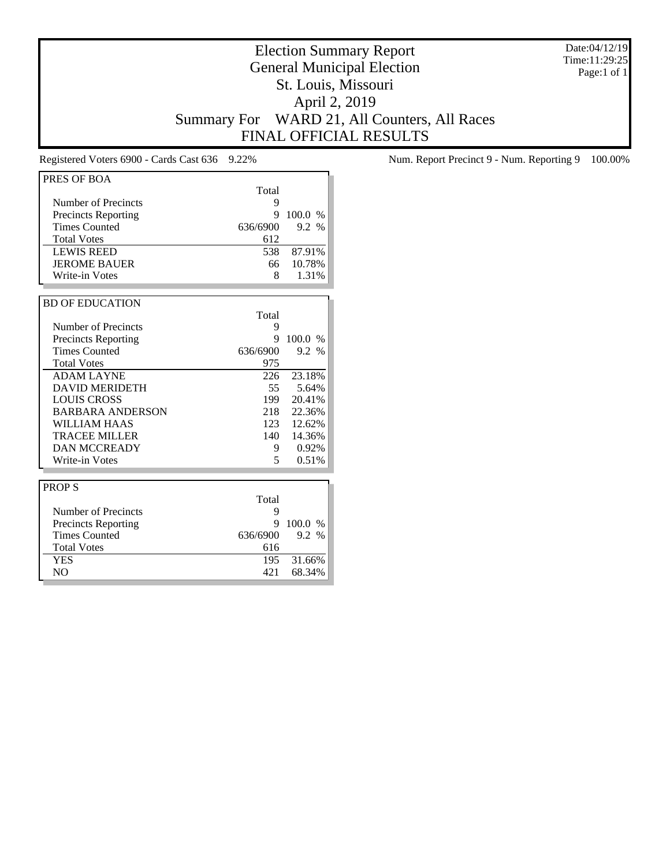Date:04/12/19 Time:11:29:25 Page:1 of 1

# Election Summary Report General Municipal Election St. Louis, Missouri April 2, 2019 Summary For WARD 21, All Counters, All Races FINAL OFFICIAL RESULTS

| PRES OF BOA                |          |         |
|----------------------------|----------|---------|
|                            | Total    |         |
| Number of Precincts        |          |         |
|                            | 9<br>9   |         |
| <b>Precincts Reporting</b> |          | 100.0%  |
| <b>Times Counted</b>       | 636/6900 | 9.2 %   |
| <b>Total Votes</b>         | 612      |         |
| <b>LEWIS REED</b>          | 538      | 87.91%  |
| <b>JEROME BAUER</b>        | 66       | 10.78%  |
| Write-in Votes             | 8        | 1.31%   |
|                            |          |         |
| <b>BD OF EDUCATION</b>     |          |         |
|                            | Total    |         |
| Number of Precincts        | 9        |         |
| <b>Precincts Reporting</b> | 9        | 100.0%  |
| <b>Times Counted</b>       | 636/6900 | 9.2 %   |
| <b>Total Votes</b>         | 975      |         |
| <b>ADAM LAYNE</b>          | 226      | 23.18%  |
| <b>DAVID MERIDETH</b>      | 55       | 5.64%   |
| <b>LOUIS CROSS</b>         | 199      | 20.41%  |
| <b>BARBARA ANDERSON</b>    | 218      | 22.36%  |
| WILLIAM HAAS               | 123      | 12.62%  |
| <b>TRACEE MILLER</b>       | 140      | 14.36%  |
| <b>DAN MCCREADY</b>        | 9        | 0.92%   |
| Write-in Votes             | 5        | 0.51%   |
|                            |          |         |
| <b>PROPS</b>               |          |         |
|                            | Total    |         |
| Number of Precincts        | 9        |         |
| <b>Precincts Reporting</b> | 9        | 100.0 % |
| <b>Times Counted</b>       | 636/6900 | 9.2 %   |
| <b>Total Votes</b>         | 616      |         |
| <b>YES</b>                 | 195      | 31.66%  |
| N <sub>O</sub>             | 421      | 68.34%  |
|                            |          |         |

Registered Voters 6900 - Cards Cast 636 9.22% Num. Report Precinct 9 - Num. Reporting 9 100.00%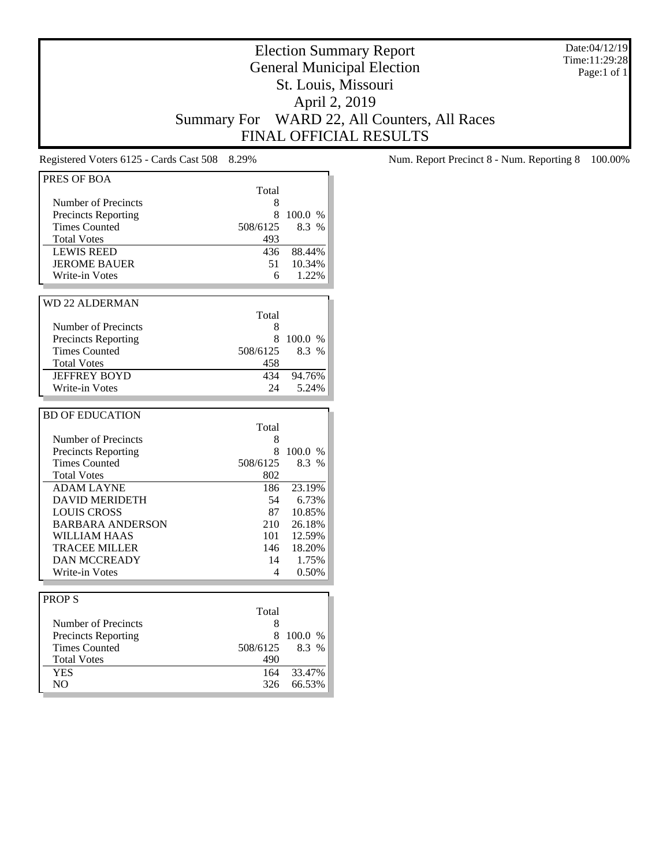Date:04/12/19 Time:11:29:28 Page:1 of 1

# Election Summary Report General Municipal Election St. Louis, Missouri April 2, 2019 Summary For WARD 22, All Counters, All Races FINAL OFFICIAL RESULTS

| PRES OF BOA                |          |         |
|----------------------------|----------|---------|
|                            | Total    |         |
| Number of Precincts        | 8        |         |
| <b>Precincts Reporting</b> | 8        | 100.0 % |
| <b>Times Counted</b>       | 508/6125 | 8.3 %   |
| <b>Total Votes</b>         | 493      |         |
| <b>LEWIS REED</b>          | 436      | 88.44%  |
| <b>JEROME BAUER</b>        | 51       | 10.34%  |
| Write-in Votes             | 6        | 1.22%   |
|                            |          |         |
| <b>WD 22 ALDERMAN</b>      |          |         |
|                            | Total    |         |
| Number of Precincts        | 8        |         |
| <b>Precincts Reporting</b> | 8        | 100.0 % |
| <b>Times Counted</b>       | 508/6125 | 8.3 %   |
| <b>Total Votes</b>         | 458      |         |
| <b>JEFFREY BOYD</b>        | 434      | 94.76%  |
| Write-in Votes             | 24       | 5.24%   |
|                            |          |         |
|                            |          |         |
| <b>BD OF EDUCATION</b>     |          |         |
|                            | Total    |         |
| Number of Precincts        | 8        |         |
| <b>Precincts Reporting</b> | 8        | 100.0 % |
| <b>Times Counted</b>       | 508/6125 | 8.3 %   |
| <b>Total Votes</b>         | 802      |         |
| <b>ADAM LAYNE</b>          | 186      | 23.19%  |
| <b>DAVID MERIDETH</b>      | 54       | 6.73%   |
| <b>LOUIS CROSS</b>         | 87       | 10.85%  |
| <b>BARBARA ANDERSON</b>    | 210      | 26.18%  |
| <b>WILLIAM HAAS</b>        | 101      | 12.59%  |
| <b>TRACEE MILLER</b>       | 146      | 18.20%  |
| <b>DAN MCCREADY</b>        | 14       | 1.75%   |
| Write-in Votes             | 4        | 0.50%   |
|                            |          |         |
| <b>PROPS</b>               |          |         |
|                            | Total    |         |
| Number of Precincts        | 8        |         |
| <b>Precincts Reporting</b> | 8        | 100.0 % |
| <b>Times Counted</b>       | 508/6125 | 8.3 %   |
| <b>Total Votes</b>         | 490      |         |
| <b>YES</b>                 | 164      | 33.47%  |
| N <sub>O</sub>             | 326      | 66.53%  |

Registered Voters 6125 - Cards Cast 508 8.29% Num. Report Precinct 8 - Num. Reporting 8 100.00%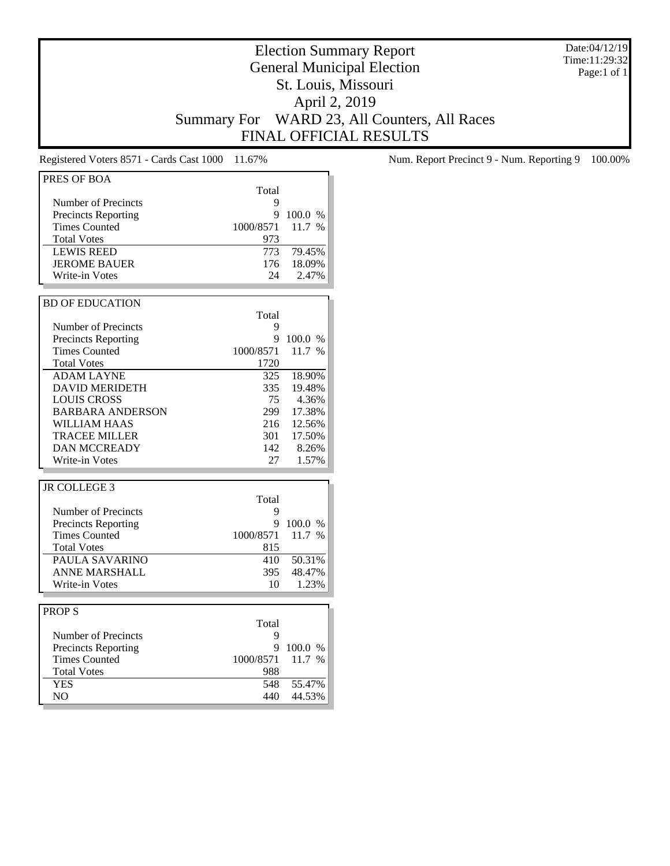Date:04/12/19 Time:11:29:32 Page:1 of 1

# Election Summary Report General Municipal Election St. Louis, Missouri April 2, 2019 Summary For WARD 23, All Counters, All Races FINAL OFFICIAL RESULTS

| PRES OF BOA                  | Total      |                  |
|------------------------------|------------|------------------|
| Number of Precincts          | 9          |                  |
|                              |            |                  |
| <b>Precincts Reporting</b>   | 9          | 100.0 %          |
| <b>Times Counted</b>         | 1000/8571  | 11.7 %           |
| <b>Total Votes</b>           | 973        |                  |
| <b>LEWIS REED</b>            | 773        | 79.45%           |
| <b>JEROME BAUER</b>          | 176        | 18.09%           |
| Write-in Votes               | 24         | 2.47%            |
|                              |            |                  |
| <b>BD OF EDUCATION</b>       |            |                  |
|                              |            |                  |
|                              | Total      |                  |
| Number of Precincts          | 9          |                  |
| <b>Precincts Reporting</b>   | 9          | 100.0 %          |
| <b>Times Counted</b>         | 1000/8571  | 11.7 %           |
| <b>Total Votes</b>           | 1720       |                  |
| <b>ADAM LAYNE</b>            | 325        | 18.90%           |
| <b>DAVID MERIDETH</b>        | 335        | 19.48%           |
| <b>LOUIS CROSS</b>           | 75         | 4.36%            |
| <b>BARBARA ANDERSON</b>      | 299        | 17.38%           |
| WILLIAM HAAS                 | 216        | 12.56%           |
| TRACEE MILLER                | 301 ·      | 17.50%           |
|                              |            |                  |
| <b>DAN MCCREADY</b>          | 142        | 8.26%            |
| Write-in Votes               | 27         | 1.57%            |
|                              |            |                  |
| <b>JR COLLEGE 3</b>          |            |                  |
|                              | Total      |                  |
| Number of Precincts          | 9          |                  |
| <b>Precincts Reporting</b>   | 9          | 100.0 %          |
|                              |            |                  |
|                              |            |                  |
| <b>Times Counted</b>         | 1000/8571  | 11.7 %           |
| <b>Total Votes</b>           | 815        |                  |
| PAULA SAVARINO               | 410        | 50.31%           |
| ANNE MARSHALL                | 395        | 48.47%           |
| Write-in Votes               | 10         | 1.23%            |
|                              |            |                  |
| <b>PROPS</b>                 |            |                  |
|                              | Total      |                  |
| <b>Number of Precincts</b>   | 9          |                  |
|                              | 9          | 100.0 %          |
| <b>Precincts Reporting</b>   |            |                  |
| <b>Times Counted</b>         | 1000/8571  | 11.7 %           |
| <b>Total Votes</b>           | 988        |                  |
| <b>YES</b><br>N <sub>O</sub> | 548<br>440 | 55.47%<br>44.53% |

Registered Voters 8571 - Cards Cast 1000 11.67% Num. Report Precinct 9 - Num. Reporting 9 100.00%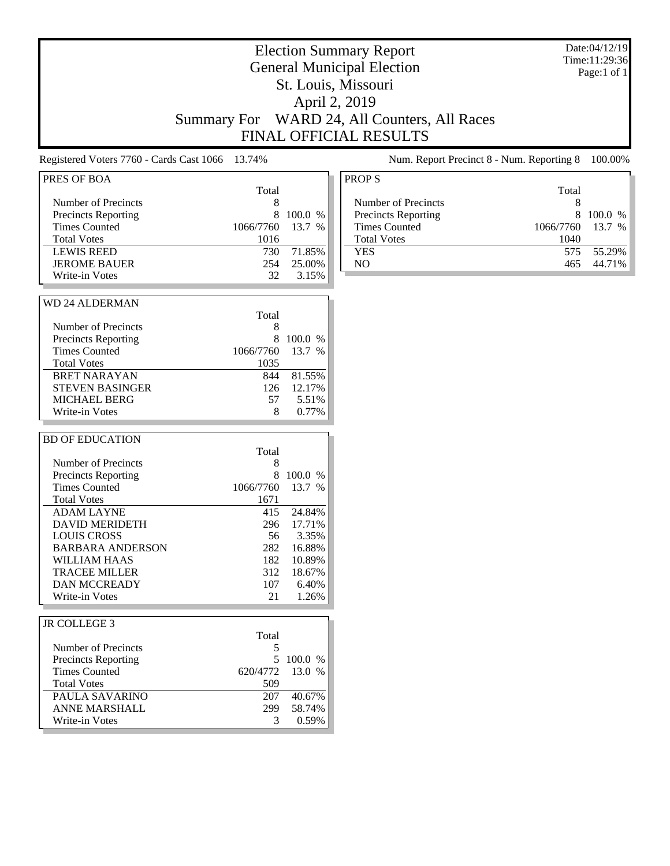| <b>Election Summary Report</b><br><b>General Municipal Election</b><br>St. Louis, Missouri<br>April 2, 2019<br>WARD 24, All Counters, All Races<br><b>Summary For</b><br><b>FINAL OFFICIAL RESULTS</b>                                                                                                                                                                    |                                                                                                                      |                                                                                                         |                                                                                                                                                                                                | Date:04/12/19<br>Time:11:29:36<br>Page:1 of 1 |  |
|---------------------------------------------------------------------------------------------------------------------------------------------------------------------------------------------------------------------------------------------------------------------------------------------------------------------------------------------------------------------------|----------------------------------------------------------------------------------------------------------------------|---------------------------------------------------------------------------------------------------------|------------------------------------------------------------------------------------------------------------------------------------------------------------------------------------------------|-----------------------------------------------|--|
| Registered Voters 7760 - Cards Cast 1066                                                                                                                                                                                                                                                                                                                                  | 13.74%                                                                                                               |                                                                                                         | Num. Report Precinct 8 - Num. Reporting 8                                                                                                                                                      | 100.00%                                       |  |
| PRES OF BOA<br>Number of Precincts<br>Precincts Reporting<br><b>Times Counted</b><br><b>Total Votes</b><br><b>LEWIS REED</b><br><b>JEROME BAUER</b><br>Write-in Votes<br><b>WD 24 ALDERMAN</b><br>Number of Precincts<br><b>Precincts Reporting</b><br><b>Times Counted</b><br><b>Total Votes</b><br><b>BRET NARAYAN</b><br><b>STEVEN BASINGER</b><br><b>MICHAEL BERG</b> | Total<br>8<br>8<br>1066/7760<br>1016<br>730<br>254<br>32<br>Total<br>8<br>8<br>1066/7760<br>1035<br>844<br>126<br>57 | 100.0 %<br>13.7 %<br>71.85%<br>25.00%<br>3.15%<br>100.0 %<br>13.7 %<br>81.55%<br>12.17%<br>5.51%        | <b>PROPS</b><br>Total<br>Number of Precincts<br>8<br>8<br>Precincts Reporting<br><b>Times Counted</b><br>1066/7760<br><b>Total Votes</b><br>1040<br>575<br><b>YES</b><br>N <sub>O</sub><br>465 | 100.0 %<br>13.7 %<br>55.29%<br>44.71%         |  |
| Write-in Votes<br><b>BD OF EDUCATION</b><br>Number of Precincts<br>Precincts Reporting<br><b>Times Counted</b><br><b>Total Votes</b><br><b>ADAM LAYNE</b><br><b>DAVID MERIDETH</b><br><b>LOUIS CROSS</b><br><b>BARBARA ANDERSON</b><br><b>WILLIAM HAAS</b><br><b>TRACEE MILLER</b><br><b>DAN MCCREADY</b><br>Write-in Votes                                               | 8<br>Total<br>8<br>8<br>1066/7760<br>1671<br>415<br>296<br>56<br>282<br>182<br>312<br>107<br>21                      | 0.77%<br>100.0 %<br>13.7 %<br>24.84%<br>17.71%<br>3.35%<br>16.88%<br>10.89%<br>18.67%<br>6.40%<br>1.26% |                                                                                                                                                                                                |                                               |  |
| <b>JR COLLEGE 3</b><br>Number of Precincts<br><b>Precincts Reporting</b><br><b>Times Counted</b><br><b>Total Votes</b><br>PAULA SAVARINO<br>ANNE MARSHALL<br>Write-in Votes                                                                                                                                                                                               | Total<br>5<br>620/4772<br>509<br>207<br>299<br>3                                                                     | 5 100.0 %<br>13.0 %<br>40.67%<br>58.74%<br>0.59%                                                        |                                                                                                                                                                                                |                                               |  |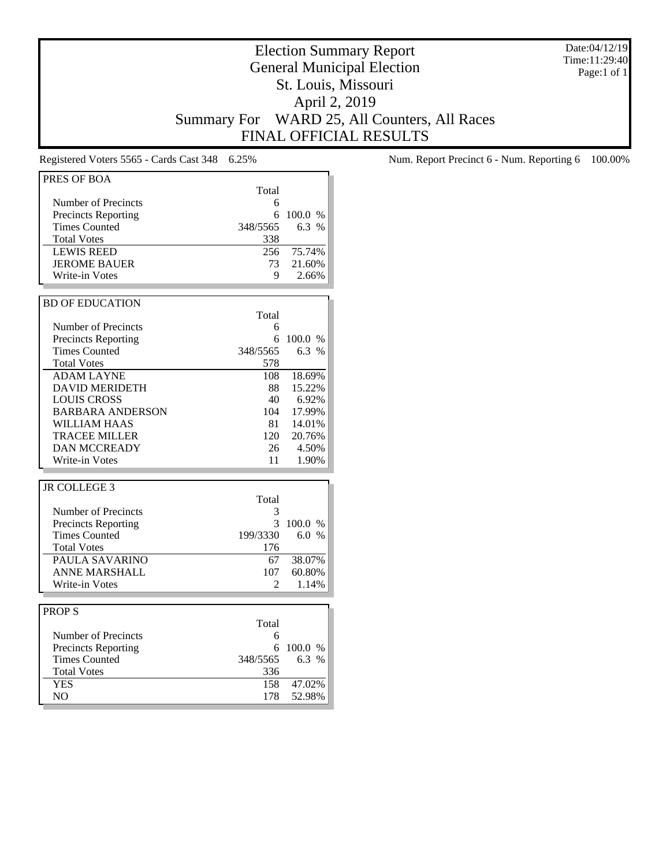Date:04/12/19 Time:11:29:40 Page:1 of 1

# Election Summary Report General Municipal Election St. Louis, Missouri April 2, 2019 Summary For WARD 25, All Counters, All Races FINAL OFFICIAL RESULTS

| PRES OF BOA                |                |         |
|----------------------------|----------------|---------|
|                            | Total          |         |
| Number of Precincts        | 6              |         |
| <b>Precincts Reporting</b> | 6              | 100.0 % |
| Times Counted              | 348/5565       | 6.3%    |
|                            |                |         |
| <b>Total Votes</b>         | 338            |         |
| <b>LEWIS REED</b>          | 256            | 75.74%  |
| <b>JEROME BAUER</b>        | 73             | 21.60%  |
| Write-in Votes             | 9              | 2.66%   |
|                            |                |         |
| <b>BD OF EDUCATION</b>     |                |         |
|                            | Total          |         |
| Number of Precincts        | 6              |         |
| <b>Precincts Reporting</b> | 6              | 100.0 % |
| <b>Times Counted</b>       | 348/5565       | 6.3 %   |
| <b>Total Votes</b>         | 578            |         |
|                            |                |         |
| <b>ADAM LAYNE</b>          | 108            | 18.69%  |
| <b>DAVID MERIDETH</b>      | 88             | 15.22%  |
| LOUIS CROSS                | 40             | 6.92%   |
| <b>BARBARA ANDERSON</b>    | 104            | 17.99%  |
| WILLIAM HAAS               | 81             | 14.01%  |
| <b>TRACEE MILLER</b>       | 120            | 20.76%  |
| <b>DAN MCCREADY</b>        | 26             | 4.50%   |
| Write-in Votes             | 11             | 1.90%   |
|                            |                |         |
| <b>JR COLLEGE 3</b>        |                |         |
|                            | Total          |         |
| Number of Precincts        | 3              |         |
| <b>Precincts Reporting</b> | 3              | 100.0 % |
| <b>Times Counted</b>       | 199/3330       | 6.0 %   |
| <b>Total Votes</b>         | 176            |         |
| PAULA SAVARINO             |                |         |
|                            | 67             | 38.07%  |
| <b>ANNE MARSHALL</b>       | 107            | 60.80%  |
| Write-in Votes             | $\mathfrak{D}$ | 1.14%   |
|                            |                |         |
| <b>PROPS</b>               |                |         |
|                            | Total          |         |
| Number of Precincts        | 6              |         |
| <b>Precincts Reporting</b> | 6              | 100.0 % |
| <b>Times Counted</b>       | 348/5565       | 6.3%    |
| <b>Total Votes</b>         | 336            |         |
| <b>YES</b>                 | 158            | 47.02%  |
|                            |                |         |
| NO.                        | 178            | 52.98%  |

Registered Voters 5565 - Cards Cast 348 6.25% Num. Report Precinct 6 - Num. Reporting 6 100.00%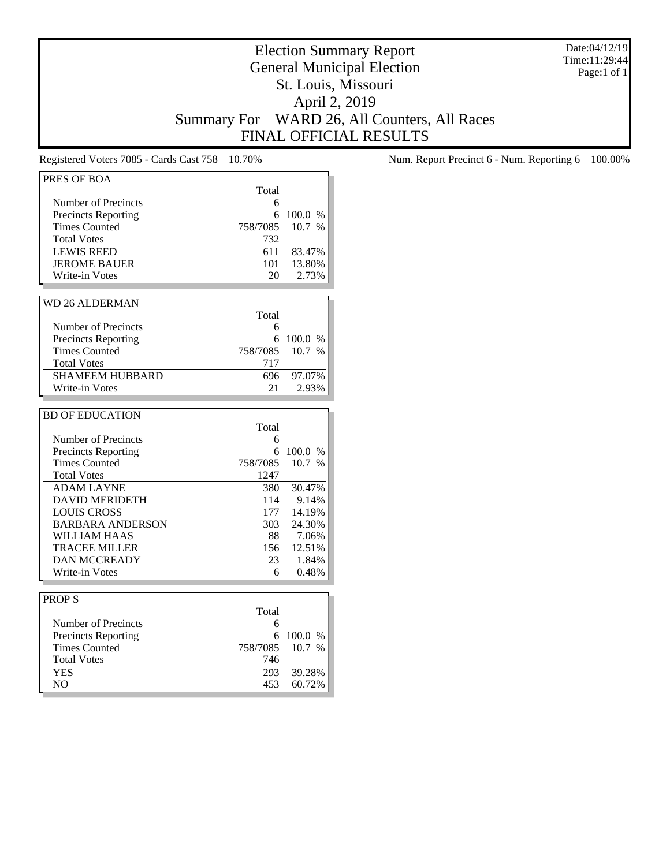Date:04/12/19 Time:11:29:44 Page:1 of 1

# Election Summary Report General Municipal Election St. Louis, Missouri April 2, 2019 Summary For WARD 26, All Counters, All Races FINAL OFFICIAL RESULTS

| PRES OF BOA                |          |         |
|----------------------------|----------|---------|
|                            | Total    |         |
| Number of Precincts        | 6        |         |
| <b>Precincts Reporting</b> | 6        | 100.0 % |
| <b>Times Counted</b>       | 758/7085 | 10.7%   |
| <b>Total Votes</b>         | 732      |         |
| <b>LEWIS REED</b>          | 611      | 83.47%  |
| <b>JEROME BAUER</b>        | 101      | 13.80%  |
| <b>Write-in Votes</b>      | 20       | 2.73%   |
|                            |          |         |
| <b>WD 26 ALDERMAN</b>      |          |         |
|                            | Total    |         |
| Number of Precincts        | 6        |         |
| <b>Precincts Reporting</b> | 6        | 100.0 % |
| <b>Times Counted</b>       | 758/7085 | 10.7%   |
| <b>Total Votes</b>         | 717      |         |
| <b>SHAMEEM HUBBARD</b>     | 696      |         |
|                            |          | 97.07%  |
| Write-in Votes             | 21       | 2.93%   |
|                            |          |         |
| <b>BD OF EDUCATION</b>     |          |         |
|                            | Total    |         |
| Number of Precincts        | 6        |         |
| <b>Precincts Reporting</b> | 6        | 100.0 % |
| <b>Times Counted</b>       | 758/7085 | 10.7 %  |
| <b>Total Votes</b>         | 1247     |         |
| <b>ADAM LAYNE</b>          | 380      | 30.47%  |
| <b>DAVID MERIDETH</b>      | 114      | 9.14%   |
| <b>LOUIS CROSS</b>         | 177      | 14.19%  |
| <b>BARBARA ANDERSON</b>    | 303      | 24.30%  |
| <b>WILLIAM HAAS</b>        | 88       | 7.06%   |
| <b>TRACEE MILLER</b>       | 156      | 12.51%  |
| <b>DAN MCCREADY</b>        | 23       | 1.84%   |
| Write-in Votes             | 6        | 0.48%   |
|                            |          |         |
| <b>PROPS</b>               |          |         |
|                            | Total    |         |
| Number of Precincts        | 6        |         |
| <b>Precincts Reporting</b> | 6        | 100.0 % |
| <b>Times Counted</b>       | 758/7085 | 10.7 %  |
| <b>Total Votes</b>         |          |         |
|                            | 746      |         |
| <b>YES</b>                 | 293      | 39.28%  |

Registered Voters 7085 - Cards Cast 758 10.70% Num. Report Precinct 6 - Num. Reporting 6 100.00%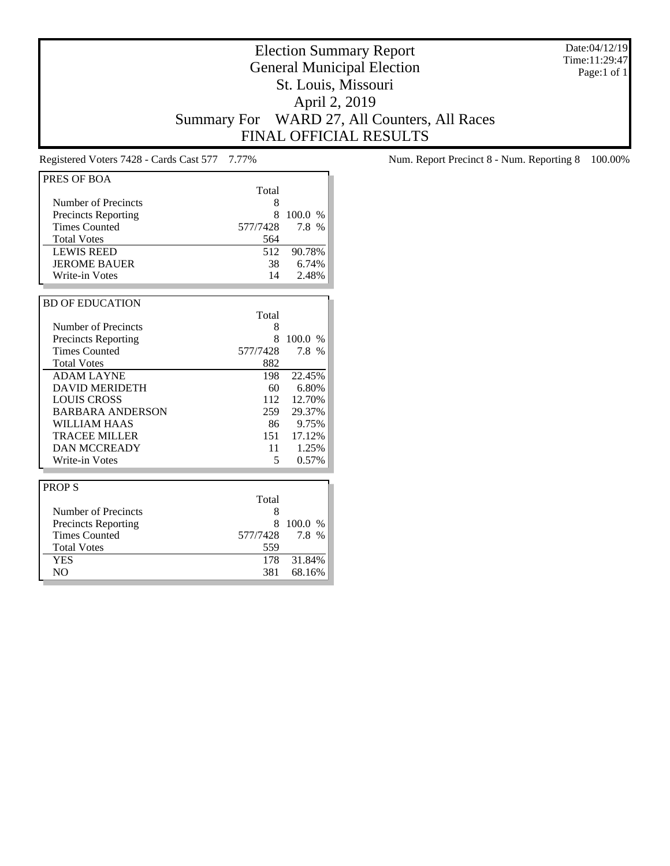Date:04/12/19 Time:11:29:47 Page:1 of 1

# Election Summary Report General Municipal Election St. Louis, Missouri April 2, 2019 Summary For WARD 27, All Counters, All Races FINAL OFFICIAL RESULTS

| PRES OF BOA                |          |               |
|----------------------------|----------|---------------|
|                            | Total    |               |
| Number of Precincts        | 8        |               |
| <b>Precincts Reporting</b> | 8        | 100.0%        |
| <b>Times Counted</b>       | 577/7428 | 7.8 %         |
| <b>Total Votes</b>         | 564      |               |
| <b>LEWIS REED</b>          | 512      | 90.78%        |
| <b>JEROME BAUER</b>        | 38       | 6.74%         |
| Write-in Votes             | 14       | 2.48%         |
|                            |          |               |
| <b>BD OF EDUCATION</b>     |          |               |
|                            | Total    |               |
| Number of Precincts        | 8        |               |
| <b>Precincts Reporting</b> | 8        | 100.0%        |
| <b>Times Counted</b>       | 577/7428 | 7.8 %         |
| <b>Total Votes</b>         | 882      |               |
| <b>ADAM LAYNE</b>          | 198      | 22.45%        |
| <b>DAVID MERIDETH</b>      | 60       | 6.80%         |
| <b>LOUIS CROSS</b>         | 112      | 12.70%        |
| <b>BARBARA ANDERSON</b>    | 259      | 29.37%        |
| WILLIAM HAAS               | 86       | 9.75%         |
| <b>TRACEE MILLER</b>       | 151      | 17.12%        |
| <b>DAN MCCREADY</b>        | 11       | 1.25%         |
| Write-in Votes             | 5        | 0.57%         |
|                            |          |               |
| <b>PROPS</b>               |          |               |
|                            | Total    |               |
| Number of Precincts        | 8        |               |
| <b>Precincts Reporting</b> | 8        | 100.0<br>$\%$ |
| <b>Times Counted</b>       | 577/7428 | 7.8 %         |
| <b>Total Votes</b>         | 559      |               |
| <b>YES</b>                 | 178      | 31.84%        |
| N <sub>O</sub>             | 381      | 68.16%        |

Registered Voters 7428 - Cards Cast 577 7.77% Num. Report Precinct 8 - Num. Reporting 8 100.00%